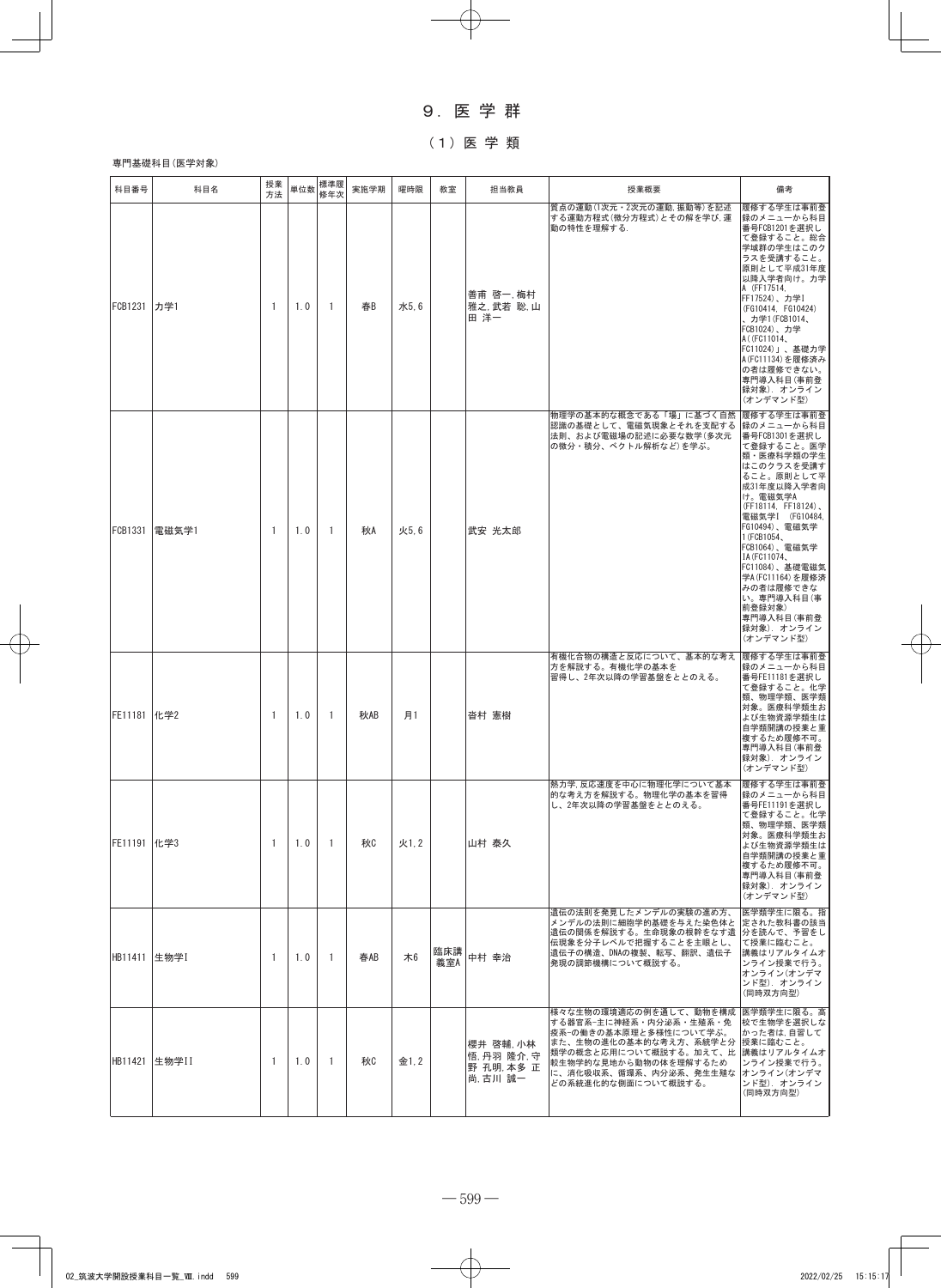# 9.医 学 群

# (1)医 学 類

## 専門基礎科目(医学対象)

| 科目番号           | 科目名           | 授業<br>方法       | 単位数 | 標準履<br>修年次   | 実施学期 | 曜時限  | 教室         | 担当教員                                          | 授業概要                                                                                                                                                                                                               | 備考                                                                                                                                                                                                                                                                                                                                                           |
|----------------|---------------|----------------|-----|--------------|------|------|------------|-----------------------------------------------|--------------------------------------------------------------------------------------------------------------------------------------------------------------------------------------------------------------------|--------------------------------------------------------------------------------------------------------------------------------------------------------------------------------------------------------------------------------------------------------------------------------------------------------------------------------------------------------------|
| FCB1231 力学1    |               | -1             | 1.0 | 1            | 春B   | 水5.6 |            | 善甫 啓一.梅村<br>雅之. 武若 聡. 山<br>田 洋一               | 質点の運動(1次元・2次元の運動, 振動等) を記述<br>する運動方程式(微分方程式)とその解を学び、運<br>動の特性を理解する.                                                                                                                                                | 履修する学生は事前登<br>録のメニューから科目<br>番号FCB1201を選択し<br>て登録すること。総合<br>学域群の学生はこのク<br>ラスを受講すること。<br>原則として平成31年度<br>以降入学者向け。力学<br>A (FF17514,<br>FF17524)、力学I<br>(FG10414, FG10424)<br>、カ学1(FCB1014、<br>FCB1024)、カ学<br>A ((FC11014,<br>FC11024)」、基礎力学<br>A (FC11134) を履修済み<br>の者は履修できない。<br>専門導入科目(事前登<br>録対象).オンライン<br>(オンデマンド型)                                          |
| <b>FCB1331</b> | 電磁気学1         | $\overline{1}$ | 1.0 | 1            | 秋A   | 火5.6 |            | 武安 光太郎                                        | 物理学の基本的な概念である「場」に基づく自然<br>認識の基礎として、電磁気現象とそれを支配する<br>法則、および電磁場の記述に必要な数学(多次元<br>の微分・積分、ベクトル解析など)を学ぶ。                                                                                                                 | 履修する学生は事前登<br>録のメニューから科目<br>番号FCB1301を選択し<br>て登録すること。医学<br>類・医療科学類の学生<br>はこのクラスを受講す<br>ること。原則として平<br>成31年度以降入学者向<br>け。電磁気学A<br>(FF18114, FF18124),<br>電磁気学I (FG10484,<br>FG10494)、電磁気学<br>1 (FCB1054,<br>FCB1064)、電磁気学<br>IA (FC11074,<br>FC11084)、基礎電磁気<br>学A (FC11164) を履修済<br>みの者は履修できな<br>い。専門導入科目(事<br>前登録対象)<br>専門導入科目(事前登<br>録対象). オンライン<br>(オンデマンド型) |
| FE11181   化学2  |               | $\overline{1}$ | 1.0 | -1           | 秋AB  | 月1   |            | 沓村 憲樹                                         | 有機化合物の構造と反応について、基本的な考え<br>方を解説する。有機化学の基本を<br>習得し、2年次以降の学習基盤をととのえる。                                                                                                                                                 | 履修する学生は事前登<br>録のメニューから科目<br>番号FE11181を選択し<br>て登録すること。化学<br>類、物理学類、医学類<br>対象。医療科学類生お<br>よび生物資源学類生は<br>自学類開講の授業と重<br>複するため履修不可。<br>専門導入科目(事前登<br>録対象). オンライン<br>(オンデマンド型)                                                                                                                                                                                      |
| FE11191   化学3  |               | $\mathbf{1}$   | 1.0 | $\mathbf{1}$ | 秋0   | 火1.2 |            | 山村 泰久                                         | 熱力学, 反応速度を中心に物理化学について基本<br>的な考え方を解説する。物理化学の基本を習得<br>し、2年次以降の学習基盤をととのえる。                                                                                                                                            | 履修する学生は事前登<br>録のメニューから科目<br>番号FE11191を選択し<br>て登録すること。化学<br>類、物理学類、医学類<br>対象。医療科学類生お<br>よび生物資源学類生は<br>自学類開講の授業と重<br>複するため履修不可。<br>専門導入科目(事前登<br>録対象). オンライン<br>(オンデマンド型)                                                                                                                                                                                      |
| HB11411  生物学I  |               | $\overline{1}$ | 1.0 | $\mathbf{1}$ | 春AB  | 木6   | 臨床講<br>義室A | 中村 幸治                                         | 遺伝の法則を発見したメンデルの実験の進め方、<br>メンデルの法則に細胞学的基礎を与えた染色体と<br>遺伝の関係を解説する。生命現象の根幹をなす遺<br>伝現象を分子レベルで把握することを主眼とし、<br>遺伝子の構造、DNAの複製、転写、翻訳、遺伝子<br>発現の調節機構について概説する。                                                                | 医学類学生に限る。指<br> 定された教科書の該当<br>分を読んで、予習をし<br>て授業に臨むこと。<br>講義はリアルタイムオ<br>ンライン授業で行う。<br>オンライン(オンデマ<br>ンド型). オンライン<br>(同時双方向型)                                                                                                                                                                                                                                    |
|                | HB11421 生物学II | $\overline{1}$ | 1.0 | -1           | 秋    | 金1.2 |            | 櫻井 啓輔 小林<br>悟,丹羽 隆介,守<br>野 孔明 本多 正<br>尚,古川 誠一 | 様々な生物の環境適応の例を通して、動物を構成<br>する器官系-主に神経系・内分泌系・生殖系・免<br>疫系-の働きの基本原理と多様性について学ぶ。<br>また、生物の進化の基本的な考え方、系統学と分  授業に臨むこと。<br>類学の概念と応用について概説する。加えて、比<br>較生物学的な見地から動物の体を理解するため<br>に、消化吸収系、循環系、内分泌系、発生生殖な<br>どの系統進化的な側面について概説する。 | 医学類学生に限る。高<br>校で生物学を選択しな<br>かった者は,自習して<br> 講義はリアルタイムオ<br>ンライン授業で行う。<br>オンライン(オンデマ<br>ンド型) オンライン<br>(同時双方向型)                                                                                                                                                                                                                                                  |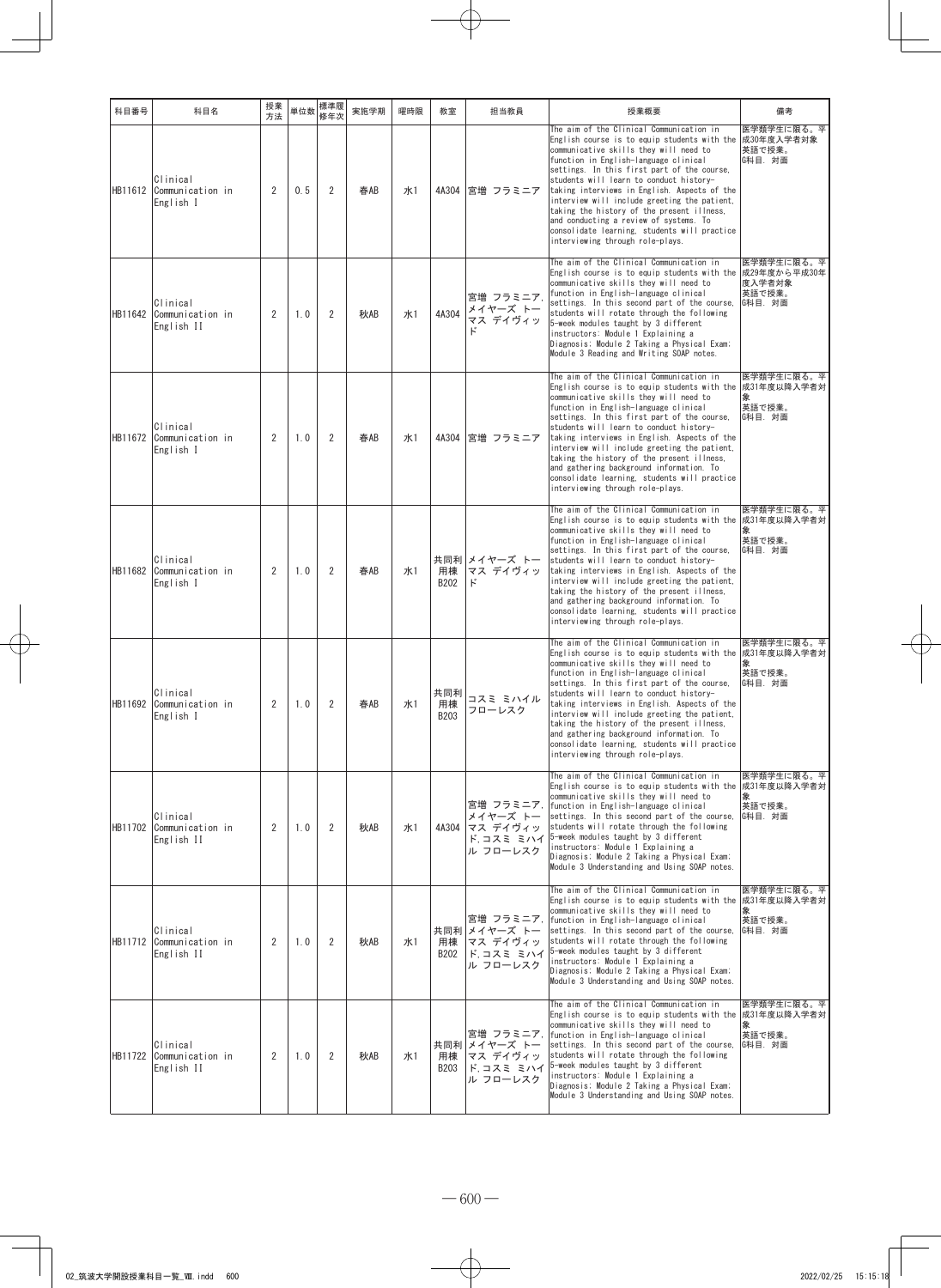| 科目番号    | 科目名                                        | 授業<br>方法       | 単位数 | 標準履<br>修年次     | 実施学期 | 曜時限        | 教室                | 担当教員                                                           | 授業概要                                                                                                                                                                                                                                                                                                                                                                                                                                                                                                                                                | 備考                                                        |
|---------|--------------------------------------------|----------------|-----|----------------|------|------------|-------------------|----------------------------------------------------------------|-----------------------------------------------------------------------------------------------------------------------------------------------------------------------------------------------------------------------------------------------------------------------------------------------------------------------------------------------------------------------------------------------------------------------------------------------------------------------------------------------------------------------------------------------------|-----------------------------------------------------------|
| HB11612 | Clinical<br>Communication in<br>English I  | $\overline{2}$ | 0.5 | $\overline{2}$ | 春AB  | 水1         | 4A304             | 宮増 フラミニア                                                       | The aim of the Clinical Communication in<br>English course is to equip students with the<br>communicative skills they will need to<br>function in English-language clinical<br>settings. In this first part of the course,<br>students will learn to conduct history-<br>taking interviews in English. Aspects of the<br>interview will include greeting the patient.<br>taking the history of the present illness,<br>and conducting a review of systems. To<br>consolidate learning, students will practice<br>interviewing through role-plays.   | 医学類学生に限る。平<br>成30年度入学者対象<br>英語で授業。<br>G科目. 対面             |
| HB11642 | Clinical<br>Communication in<br>English II | 2              | 1.0 | $\overline{2}$ | 秋AB  | <b>ж1</b>  | 4A304             | 宮増 フラミニア<br>メイヤーズ トー<br>マス デイヴィッ<br>k                          | The aim of the Clinical Communication in<br>English course is to equip students with the<br>communicative skills they will need to<br>function in English-language clinical<br>settings. In this second part of the course.<br>students will rotate through the following<br>5-week modules taught by 3 different<br>instructors: Module 1 Explaining a<br>Diagnosis; Module 2 Taking a Physical Exam;<br>Module 3 Reading and Writing SOAP notes.                                                                                                  | 医学類学生に限る。平<br>成29年度から平成30年<br>度入学者対象<br>英語で授業。<br>G科目. 対面 |
| HB11672 | Clinical<br>Communication in<br>English I  | 2              | 1.0 | $\overline{2}$ | 春AB  | 水1         | 4A304             | 宮増 フラミニア                                                       | The aim of the Clinical Communication in<br>English course is to equip students with the<br>communicative skills they will need to<br>function in English-language clinical<br>settings. In this first part of the course,<br>students will learn to conduct history-<br>taking interviews in English. Aspects of the<br>interview will include greeting the patient,<br>taking the history of the present illness,<br>and gathering background information. To<br>consolidate learning, students will practice<br>interviewing through role-plays. | 医学類学生に限る。平<br>成31年度以降入学者対<br>象<br>英語で授業。<br>G科目. 対面       |
| HB11682 | Clinical<br>Communication in<br>English I  | 2              | 1.0 | $\overline{2}$ | 春AB  | <b>ж</b> 1 | 用棟<br>B202        | 共同利 メイヤーズ トー<br>マス デイヴィッ<br>k,                                 | The aim of the Clinical Communication in<br>English course is to equip students with the<br>communicative skills they will need to<br>function in English-language clinical<br>settings. In this first part of the course,<br>students will learn to conduct history-<br>taking interviews in English. Aspects of the<br>interview will include greeting the patient,<br>taking the history of the present illness,<br>and gathering background information. To<br>consolidate learning, students will practice<br>interviewing through role-plays. | 医学類学生に限る。平<br>成31年度以降入学者対<br>象<br>英語で授業。<br> G科目.対面       |
| HB11692 | Clinical<br>Communication in<br>English I  | $\overline{2}$ | 1.0 | $\overline{2}$ | 春AB  | 水1         | 共同利<br>用棟<br>B203 | コスミ ミハイル<br>フローレスク                                             | The aim of the Clinical Communication in<br>English course is to equip students with the<br>communicative skills they will need to<br>function in English-language clinical<br>settings. In this first part of the course,<br>students will learn to conduct history-<br>taking interviews in English. Aspects of the<br>interview will include greeting the patient,<br>taking the history of the present illness,<br>and gathering background information. To<br>consolidate learning, students will practice<br>interviewing through role-plays. | 医学類学生に限る。平<br>成31年度以降入学者対<br>象<br>英語で授業。<br> G科目. 対面      |
| HB11702 | Clinical<br>Communication in<br>English II | 2              | 1.0 | 2              | 秋AB  | 水1         | 4A304             | 宮増 フラミニア,<br>メイヤーズ トー<br>マス デイヴィッ<br>ド,コスミ ミハイ<br>ル フローレスク     | The aim of the Clinical Communication in<br>English course is to equip students with the<br>communicative skills they will need to<br>function in English-language clinical<br>settings. In this second part of the course,<br>students will rotate through the following<br>5-week modules taught by 3 different<br>instructors: Module 1 Explaining a<br>Diagnosis; Module 2 Taking a Physical Exam;<br>Module 3 Understanding and Using SOAP notes.                                                                                              | 医学類学生に限る。平<br>成31年度以降入学者対<br>象<br>英語で授業。<br> G科目.対面       |
| HB11712 | Clinical<br>Communication in<br>English II | 2              | 1.0 | 2              | 秋AB  | <b>水1</b>  | 用棟<br>B202        | 宮増 フラミニア,<br>共同利 メイヤーズ トー<br>マス デイヴィッ<br>ド,コスミ ミハイ<br>ル フローレスク | The aim of the Clinical Communication in<br>English course is to equip students with the<br>communicative skills they will need to<br>function in English-language clinical<br>settings. In this second part of the course,<br>students will rotate through the following<br>5-week modules taught by 3 different<br>instructors: Module 1 Explaining a<br>Diagnosis; Module 2 Taking a Physical Exam;<br>Module 3 Understanding and Using SOAP notes.                                                                                              | 医学類学生に限る。平<br>成31年度以降入学者対<br>英語で授業。<br>G科目. 対面            |
| HB11722 | Clinical<br>Communication in<br>English II | 2              | 1.0 | $\overline{2}$ | 秋AB  | <b>ж1</b>  | 用棟<br>B203        | 宮増 フラミニア.<br>共同利 メイヤーズ トー<br>マス デイヴィッ<br>ド,コスミ ミハイ<br>ル フローレスク | The aim of the Clinical Communication in<br>English course is to equip students with the 成31年度以降入学者対<br>communicative skills they will need to<br>function in English-language clinical<br>settings. In this second part of the course,<br>students will rotate through the following<br>5-week modules taught by 3 different<br>instructors: Module 1 Explaining a<br>Diagnosis; Module 2 Taking a Physical Exam;<br>Module 3 Understanding and Using SOAP notes.                                                                                  | 医学類学生に限る。平<br>象<br>英語で授業。<br>G科目. 対面                      |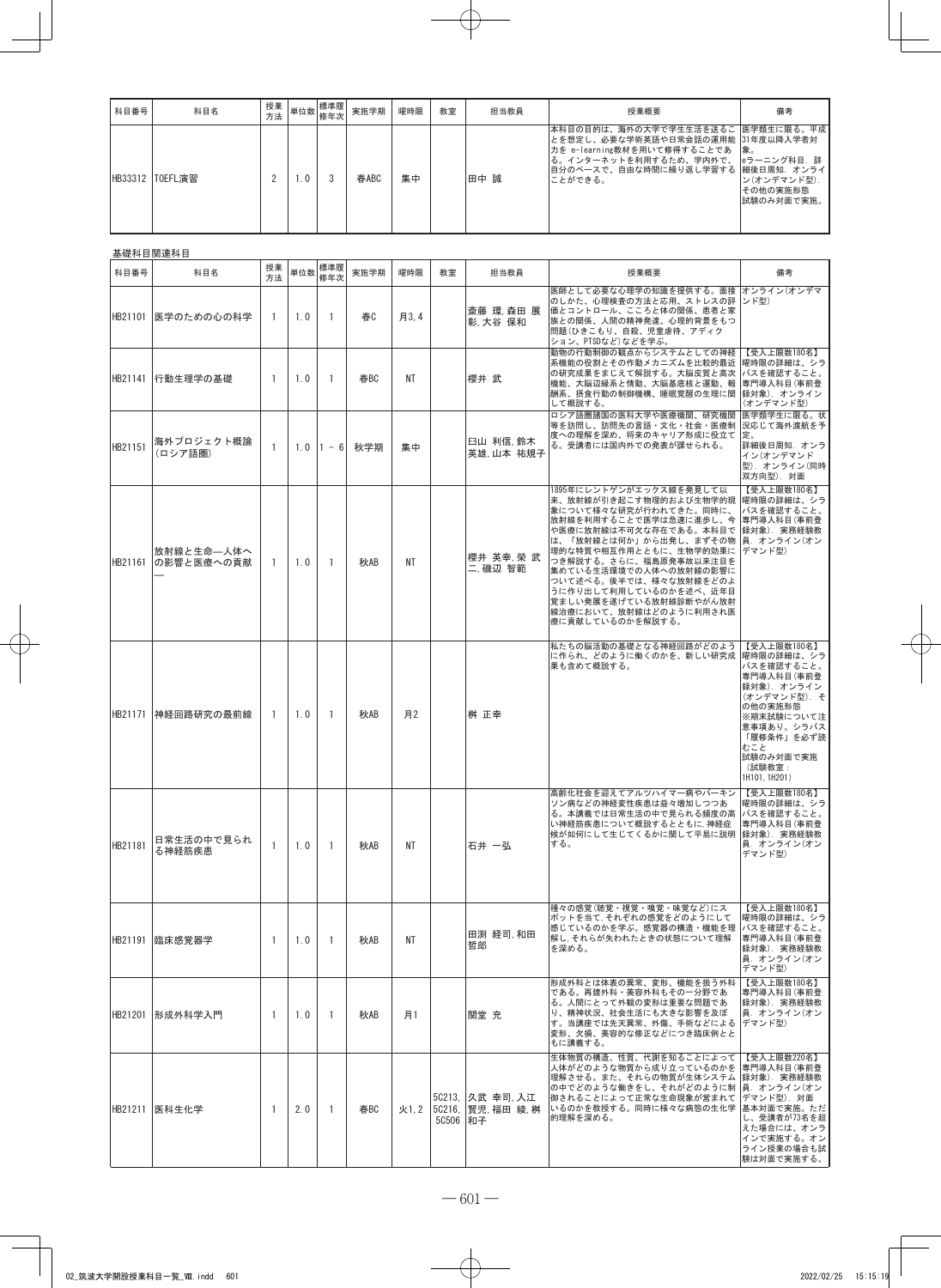| 科目番号 | 科目名             | 授業<br>方法 |     | ▼ 単位数 標準履  →<br>修年次 | 実施学期 | 曜時限 | 教室 | 担当教員 | 授業概要                                                                                                                                                                                                 | 備考                                    |
|------|-----------------|----------|-----|---------------------|------|-----|----|------|------------------------------------------------------------------------------------------------------------------------------------------------------------------------------------------------------|---------------------------------------|
|      | HB33312 TOEFL演習 |          | 1.0 |                     | 春ABC | 集中  |    | 田中 誠 | 本科目の目的は、海外の大学で学生生活を送るこ 医学類生に限る。平成<br>とを想定し、必要な学術英語や日常会話の運用能  31年度以降入学者対<br>力を e-learning教材を用いて修得することであ  象。<br>「る。インターネットを利用するため、学内外で、  eラーニング科目. 詳<br>自分のペースで、自由な時間に繰り返し学習する  細後日周知. オンライ<br>ことができる。 | ン(オンデマンド型).<br>その他の実施形態<br>試験のみ対面で実施。 |

#### 基礎科目関連科目

| 科目番号    | 科目名                       | 授業<br>方法       | 単位数 | 標準履<br>修年次     | 実施学期 | 曜時限  | 教室         | 担当教員                                   | 授業概要                                                                                                                                                                                                                                                                                                                                                                             | 備考                                                                                                                                                                                      |
|---------|---------------------------|----------------|-----|----------------|------|------|------------|----------------------------------------|----------------------------------------------------------------------------------------------------------------------------------------------------------------------------------------------------------------------------------------------------------------------------------------------------------------------------------------------------------------------------------|-----------------------------------------------------------------------------------------------------------------------------------------------------------------------------------------|
|         | HB21101 医学のための心の科学        | $\mathbf{1}$   | 1.0 | $\overline{1}$ | 春    | 月3.4 |            | 斎藤 環 森田 展<br>彰,大谷 保和                   | 医師として必要な心理学の知識を提供する。面接 オンライン(オンデマ<br>のしかた、心理検査の方法と応用、ストレスの評  ンド型)<br>価とコントロール、こころと体の関係、患者と家<br>族との関係、人間の精神発達、心理的背景をもつ<br>問題(ひきこもり、自殺、児童虐待、アディク<br>ション、PTSDなど)などを学ぶ。                                                                                                                                                                                                              |                                                                                                                                                                                         |
| HB21141 | 行動生理学の基礎                  | $\overline{1}$ | 1.0 | $\overline{1}$ | 春BC  | ΝT   |            | 櫻井 武                                   | 動物の行動制御の観点からシステムとしての神経<br>系機能の役割とその作動メカニズムを比較的最近<br>の研究成果をまじえて解説する。大脳皮質と高次<br>機能、大脳辺縁系と情動、大脳基底核と運動、報<br>酬系、摂食行動の制御機構、睡眠覚醒の生理に関<br>して概説する。                                                                                                                                                                                                                                        | 【受入上限数180名】<br> 曜時限の詳細は、シラ<br>バスを確認すること。<br>専門導入科目(事前登<br> 録対象). オンライン<br>(オンデマンド型)                                                                                                     |
| HB21151 | 海外ブロジェクト概論<br>(ロシア語圏)     | 1              | 1.0 | $1 - 6$        | 秋学期  | 集中   |            | 臼山 利信 鈴木<br>英雄 山本 祐規子                  | ロシア語圏諸国の医科大学や医療機関、研究機関<br>等を訪問し、訪問先の言語・文化・社会・医療制<br>度への理解を深め、将来のキャリア形成に役立て<br>る。受講者には国内外での発表が課せられる。                                                                                                                                                                                                                                                                              | 医学類学生に限る。状<br>況応じて海外渡航を予<br>定。<br>詳細後日周知. オンラ<br>イン(オンデマンド<br>型). オンライン(同時<br>双方向型). 対面                                                                                                 |
| HB21161 | 放射線と生命––人体へ<br>の影響と医療への貢献 | -1             | 1.0 | $\overline{1}$ | 秋AB  | NΤ   |            | 櫻井 英幸,榮 武<br>二.磯辺 智範                   | 1895年にレントゲンがエックス線を発見して以<br>来、放射線が引き起こす物理的および生物学的現<br>象について様々な研究が行われてきた。同時に、<br>放射線を利用することで医学は急速に進歩し、今<br>や医療に放射線は不可欠な存在である。本科目で<br>は、「放射線とは何か」から出発し、まずその物  員. オンライン(オン<br>理的な特質や相互作用とともに、生物学的効果に<br>つき解説する。さらに、福島原発事故以来注目を<br>集めている生活環境での人体への放射線の影響に<br>ついて述べる。後半では、様々な放射線をどのよ<br>うに作り出して利用しているのかを述べ、近年目<br>覚ましい発展を遂げている放射線診断やがん放射<br>線治療において、放射線はどのように利用され医<br>療に貢献しているのかを解説する。 | 【受入上限数180名】<br>曜時限の詳細は、シラ<br>バスを確認すること。<br>専門導入科目(事前登<br> 録対象) 実務経験教<br> デマンド型)                                                                                                         |
| HB21171 | 神経回路研究の最前線                | $\overline{1}$ | 1.0 | $\overline{1}$ | 秋AB  | 月2   |            | 桝 正幸                                   | 私たちの脳活動の基礎となる神経回路がどのよう<br>に作られ、どのように働くのかを、新しい研究成<br>果も含めて概説する。                                                                                                                                                                                                                                                                                                                   | 【受入上限数180名】<br>曜時限の詳細は、シラ<br>バスを確認すること。<br>専門導入科目(事前登<br>録対象) オンライン<br>(オンデマンド型). そ<br>の他の実施形態<br>※期末試験について注<br>意事項あり。シラバス<br>「履修条件」を必ず読<br>むこと<br>試験のみ対面で実施<br>(試験教室:<br>1H101, 1H201) |
| HB21181 | 日常生活の中で見られ<br>る神経筋疾患      | 1              | 1.0 | $\overline{1}$ | 秋AB  | NΤ   |            | 石井 一弘                                  | 高齢化社会を迎えてアルツハイマー病やパーキン<br>ソン病などの神経変性疾患は益々増加しつつあ<br>る。本講義では日常生活の中で見られる頻度の高<br>い神経筋疾患について概説するとともに、神経症<br>候が如何にして生じてくるかに関して平易に説明<br>する。                                                                                                                                                                                                                                             | 【受入上限数180名】<br>曜時限の詳細は、シラ<br>バスを確認すること。<br>専門導入科目(事前登<br>録対象). 実務経験教<br>員. オンライン(オン<br>デマンド型)                                                                                           |
|         | HB21191  臨床感覚器学           | -1             | 1.0 | $\overline{1}$ | 秋AB  | ΝT   |            | 田渕 経司 和田<br>哲郎                         | 種々の感覚(聴覚・視覚・嗅覚・味覚など)にス<br>ポットを当て、それぞれの感覚をどのようにして<br>感じているのかを学ぶ。感覚器の構造・機能を理<br>解し,それらが失われたときの状態について理解<br>を深める。                                                                                                                                                                                                                                                                    | 【受入上限数180名】<br>曜時限の詳細は、シラ<br>バスを確認すること。<br>専門導入科目(事前登<br>録対象). 実務経験教<br>員. オンライン(オン<br>デマンド型)                                                                                           |
| HB21201 | 形成外科学入門                   | -1             | 1.0 | -1             | 秋AB  | 月1   |            | 関堂 充                                   | 形成外科とは体表の異常、変形、機能を扱う外科<br>である。再建外科・美容外科もその一分野であ<br>る。人間にとって外観の変形は重要な問題であ<br>り、精神状況、社会生活にも大きな影響を及ぼ<br>す。当講座では先天異常、外傷、手術などによる<br>変形、欠損、美容的な修正などにつき臨床例とと<br>もに講義する。                                                                                                                                                                                                                 | 【受入上限数180名】<br>専門導入科目(事前登<br>録対象). 実務経験教<br>員. オンライン(オン<br> デマンド型)                                                                                                                      |
|         | HB21211 医科生化学             | -1             | 2.0 | $\overline{1}$ | 春BC  | 火1.2 | 50506   和子 | 50213, 久武 幸司, 入江<br>5C216. 賢児, 福田 綾, 桝 | 生体物質の構造、性質、代謝を知ることによって<br>人体がどのような物質から成り立っているのかを<br>理解させる。また、それらの物質が生体システム<br>の中でどのような働きをし、それがどのように制<br>御されることによって正常な生命現象が営まれて<br>いるのかを教授する。同時に様々な病態の生化学<br>的理解を深める。                                                                                                                                                                                                             | 【受入上限数220名】<br>専門導入科目(事前登<br>録対象). 実務経験教<br> 員. オンライン(オン<br>デマンド型). 対面<br> 基本対面で実施。ただ<br>し、受講者が73名を超<br>えた場合には、オンラ<br>インで実施する。オン<br>ライン授業の場合も試<br>験は対面で実施する。                            |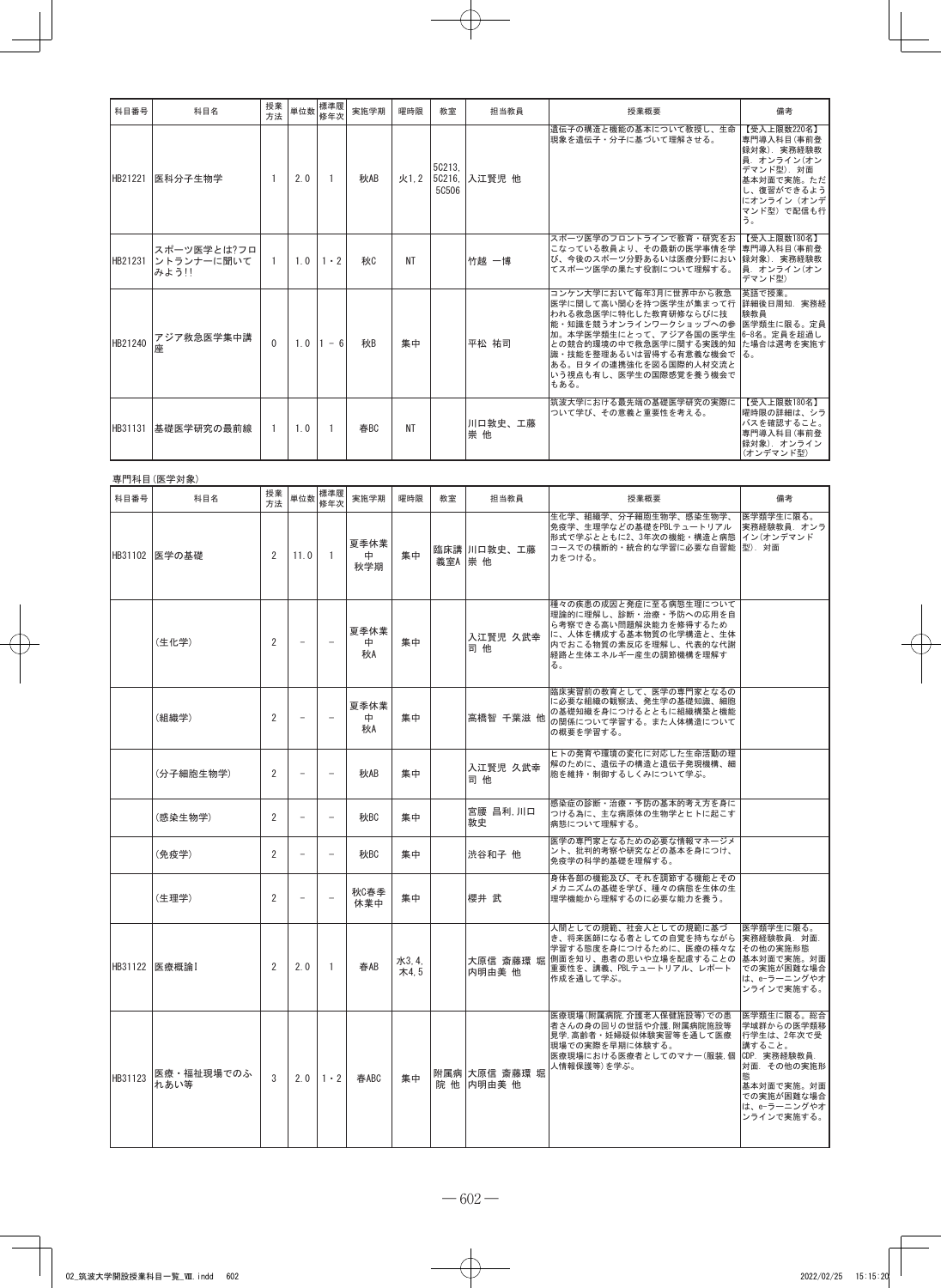| 科目番号    | 科目名                                | 授業<br>方法 |     | 単位数 標準履<br>修年次 | 実施学期 | 曜時限       | 教室              | 担当教員          | 授業概要                                                                                                                                                                                                                                                                | 備考                                                                                                                                   |
|---------|------------------------------------|----------|-----|----------------|------|-----------|-----------------|---------------|---------------------------------------------------------------------------------------------------------------------------------------------------------------------------------------------------------------------------------------------------------------------|--------------------------------------------------------------------------------------------------------------------------------------|
| HB21221 | 医科分子生物学                            |          | 2.0 |                | 秋AB  | 火1.2      | 50213.<br>50506 | 5C216, 入江賢児 他 | 遺伝子の構造と機能の基本について教授し、生命<br>現象を遺伝子・分子に基づいて理解させる。                                                                                                                                                                                                                      | 【受入上限数220名】<br>専門導入科目(事前登<br>録対象). 実務経験教<br>員. オンライン(オン<br>デマンド型). 対面<br>基本対面で実施。ただ<br>し、復習ができるよう<br>にオンライン (オンデ<br>マンド型)で配信も行<br>う。 |
| HB21231 | スポーツ医学とは?フロ<br>ントランナーに聞いて<br>みよう!! |          | 1.0 | $1 \cdot 2$    | 秋    | NT        |                 | 竹越 一博         | スポーツ医学のフロントラインで教育・研究をお<br>こなっている教員より、その最新の医学事情を学  専門導入科目(事前登<br>び、今後のスポーツ分野あるいは医療分野におい 録対象). 実務経験教<br>てスポーツ医学の果たす役割について理解する。                                                                                                                                        | 【受入上限数180名】<br>員. オンライン(オン<br>デマンド型)                                                                                                 |
| HB21240 | アジア救急医学集中講<br>座                    | $\Omega$ | 1.0 | $1 - 6$        | 利·   | 集中        |                 | 平松 祐司         | コンケン大学において毎年3月に世界中から救急<br>医学に関して高い関心を持つ医学生が集まって行<br>われる救急医学に特化した教育研修ならびに技<br>能・知識を競うオンラインワークショップへの参 医学類生に限る。定員<br>加。本学医学類生にとって、アジア各国の医学生<br>との競合的環境の中で救急医学に関する実践的知 た場合は選考を実施す<br>識・技能を整理あるいは習得する有意義な機会で<br>ある。日タイの連携強化を図る国際的人材交流と<br>いう視点も有し、医学生の国際感覚を養う機会で<br>もある。 | 英語で授業。<br>詳細後日周知. 実務経<br>験教員<br>6-8名。定員を超過し                                                                                          |
| HB31131 | 基礎医学研究の最前線                         |          | 1.0 |                | 春BC  | <b>NT</b> |                 | 川口敦史、工藤<br>崇他 | 筑波大学における最先端の基礎医学研究の実際に<br>ついて学び、その意義と重要性を考える。                                                                                                                                                                                                                       | 【受入上限数180名】<br> 曜時限の詳細は、シラ<br>バスを確認すること。<br>専門導入科目(事前登<br>録対象). オンライン<br>(オンデマンド型)                                                   |

### 専門科目(医学対象)

| 科目番号    | 科目名                | 授業<br>方法       | 単位数                      | 標準履<br>修年次               | 実施学期             | 曜時限           | 教室        | 担当教員                        | 授業概要                                                                                                                                                         | 備考                                                                                                                                            |
|---------|--------------------|----------------|--------------------------|--------------------------|------------------|---------------|-----------|-----------------------------|--------------------------------------------------------------------------------------------------------------------------------------------------------------|-----------------------------------------------------------------------------------------------------------------------------------------------|
|         | HB31102 医学の基礎      | 2              | 11.0                     | 1                        | 夏季休業<br>中<br>秋学期 | 集中            | 義室A   崇 他 | 臨床講 川口敦史、工藤                 | 生化学、組織学、分子細胞生物学、感染生物学、<br>免疫学、生理学などの基礎をPBLテュートリアル<br>形式で学ぶとともに2、3年次の機能・構造と病態<br>コースでの横断的・統合的な学習に必要な自習能  型). 対面<br>力をつける。                                     | 医学類学生に限る。<br>実務経験教員. オンラ<br>イン(オンデマンド                                                                                                         |
|         | (生化学)              | 2              | $\overline{\phantom{0}}$ | $\overline{\phantom{0}}$ | 夏季休業<br>⊕.<br>秋A | 集中            |           | 入江賢児 久武幸<br>司他              | 種々の疾患の成因と発症に至る病態生理について<br>理論的に理解し、診断・治療・予防への応用を自<br>ら考察できる高い問題解決能力を修得するため<br>に、人体を構成する基本物質の化学構造と、生体<br>内でおこる物質の素反応を理解し、代表的な代謝<br>経路と生体エネルギー産生の調節機構を理解す<br>る。 |                                                                                                                                               |
|         | (組織学)              | 2              | $\overline{\phantom{0}}$ | $\overline{\phantom{0}}$ | 夏季休業<br>中<br>秋A  | 集中            |           | 高橋智 千葉滋 他                   | 臨床実習前の教育として、医学の専門家となるの<br>に必要な組織の観察法、発生学の基礎知識、細胞<br>の基礎知織を身につけるとともに組織構築と機能<br>の関係について学習する。また人体構造について<br>の概要を学習する。                                            |                                                                                                                                               |
|         | (分子細胞生物学)          | 2              | $\overline{a}$           | $\overline{\phantom{0}}$ | 秋AB              | 集中            |           | 入江賢児 久武幸<br>司他              | ヒトの発育や環境の変化に対応した生命活動の理<br>解のために、遺伝子の構造と遺伝子発現機構、細<br>胞を維持・制御するしくみについて学ぶ。                                                                                      |                                                                                                                                               |
|         | (感染生物学)            | 2              | $\equiv$                 | $\equiv$                 | 秋BC              | 集中            |           | 宮腰 昌利,川口<br>敦史              | 感染症の診断・治療・予防の基本的考え方を身に<br>つける為に、主な病原体の生物学とヒトに起こす<br>病態について理解する。                                                                                              |                                                                                                                                               |
|         | (免疫学)              | $\overline{2}$ | $\equiv$                 | $\overline{\phantom{0}}$ | 秋BC              | 集中            |           | 渋谷和子 他                      | 医学の専門家となるための必要な情報マネージメ<br>ント、批判的考察や研究などの基本を身につけ、<br>免疫学の科学的基礎を理解する。                                                                                          |                                                                                                                                               |
|         | (生理学)              | 2              |                          |                          | 秋C春季<br>休業中      | 集中            |           | 櫻井 武                        | 身体各部の機能及び、それを調節する機能とその<br>メカニズムの基礎を学び、種々の病態を生体の生<br>理学機能から理解するのに必要な能力を養う。                                                                                    |                                                                                                                                               |
|         | HB31122 医療概論I      | 2              | 2.0                      | $\mathbf{1}$             | 春AB              | 水3.4.<br>木4.5 |           | 大原信 斎藤環 堀<br>内明由美 他         | 人間としての規範、社会人としての規範に基づ<br>き、将来医師になる者としての自覚を持ちながら<br>学習する態度を身につけるために、医療の様々な<br>側面を知り、患者の思いや立場を配慮することの<br>重要性を、講義、PBLテュートリアル、レポート<br>作成を通して学ぶ。                  | 医学類学生に限る。<br>実務経験教員. 対面.<br>その他の実施形態<br>基本対面で実施。対面<br>での実施が困難な場合<br>は、e-ラーニングやオ<br>ンラインで実施する。                                                 |
| HB31123 | 医療・福祉現場でのふ<br>れあい等 | 3              | 2.0                      | $1 \cdot 2$              | 春ABC             | 集中            |           | 附属病 大原信 斎藤環 堀<br>院 他 内明由美 他 | 医療現場(附属病院,介護老人保健施設等)での患<br>者さんの身の回りの世話や介護, 附属病院施設等<br>見学. 高齢者・妊婦疑似体験実習等を通して医療<br>現場での実際を早期に体験する。<br>医療現場における医療者としてのマナー(服装.個<br>人情報保護等)を学ぶ。                   | 医学類生に限る。総合<br>学域群からの医学類移<br>行学生は、2年次で受<br>講すること。<br>CDP. 実務経験教員.<br>対面. その他の実施形<br>熊<br>基本対面で実施。対面<br>での実施が困難な場合<br>は、e-ラーニングやオ<br>ンラインで実施する。 |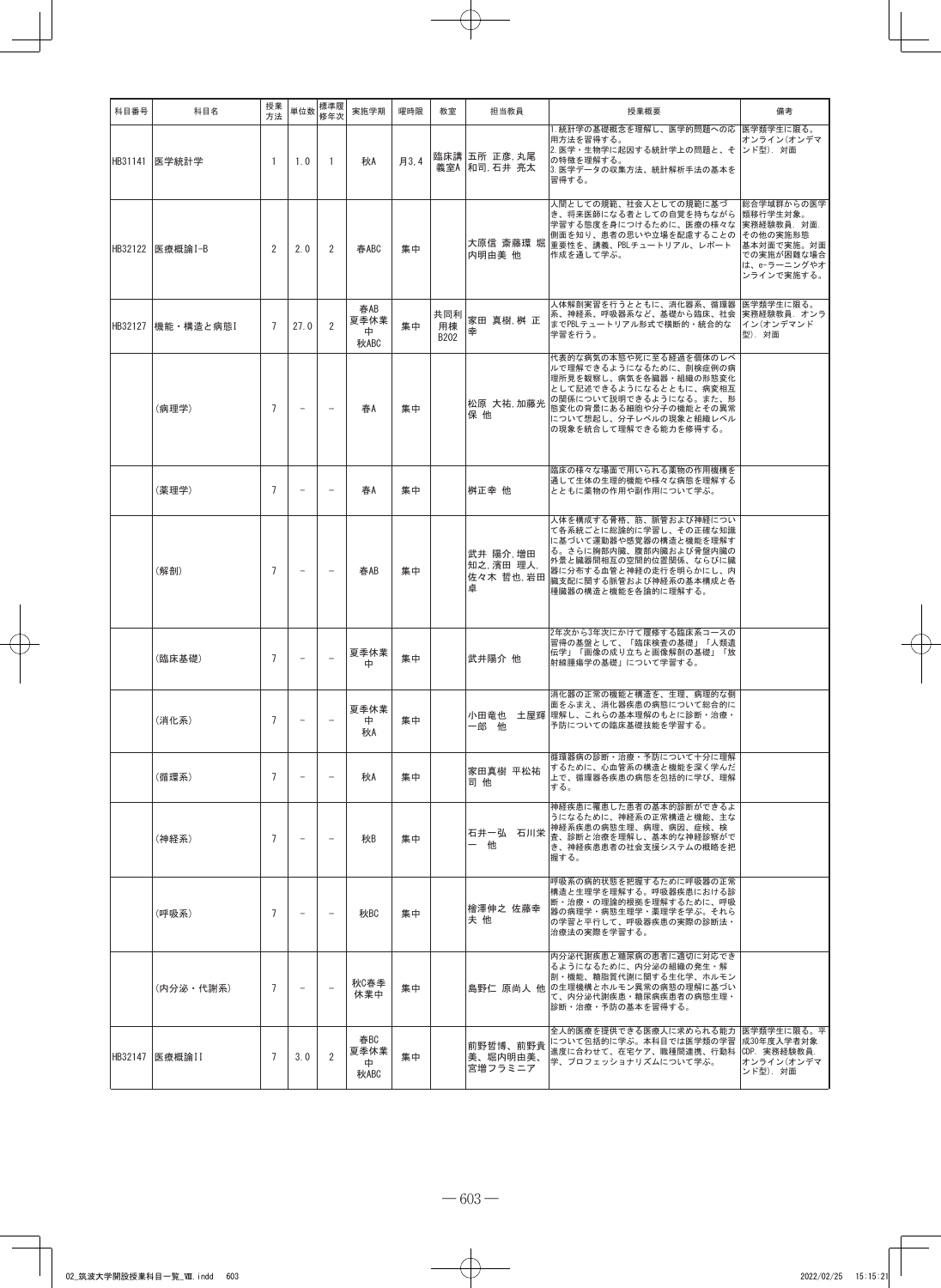| 科目番号    | 科目名             | 授業<br>方法       | 単位数                      | 標準履<br>修年次               | 実施学期                      | 曜時限  | 教室                | 担当教員                                    | 授業概要                                                                                                                                                                                                            | 備考                                                                                                         |
|---------|-----------------|----------------|--------------------------|--------------------------|---------------------------|------|-------------------|-----------------------------------------|-----------------------------------------------------------------------------------------------------------------------------------------------------------------------------------------------------------------|------------------------------------------------------------------------------------------------------------|
|         | HB31141   医学統計学 | $\overline{1}$ | 1.0                      | $\mathbf{1}$             | 秋A                        | 月3.4 |                   | 臨床講 五所 正彦,丸尾<br>義室A   和司, 石井 亮太         | 1. 統計学の基礎概念を理解し、医学的問題への応 医学類学生に限る。<br>用方法を習得する。<br>2. 医学・生物学に起因する統計学上の問題と、そ  ンド型). 対面<br>の特徴を理解する。<br>3. 医学データの収集方法、統計解析手法の基本を<br>習得する。                                                                         | オンライン(オンデマ                                                                                                 |
|         | HB32122 医療概論I-B | 2              | 2.0                      | 2                        | 春ABC                      | 集中   |                   | 内明由美 他                                  | 人間としての規範、社会人としての規範に基づ<br>き、将来医師になる者としての自覚を持ちながら<br>学習する態度を身につけるために、医療の様々な<br>側面を知り、患者の思いや立場を配慮することの<br>大原信 斎藤環 堀 重要性を、講義、PBLチュートリアル、レポート<br>作成を通して学ぶ。                                                           | 総合学域群からの医学<br>類移行学生対象。<br>実務経験教員. 対面.<br>その他の実施形態<br>基本対面で実施。対面<br>での実施が困難な場合<br>は、e-ラーニングやオ<br>ンラインで実施する。 |
| HB32127 | 機能・構造と病態        | 7              | 27.0                     | 2                        | 春AB<br>夏季休業<br>⊕.<br>秋ABC | 集中   | 共同利<br>用棟<br>B202 | 家田 真樹,桝 正<br>幸                          | 人体解剖実習を行うとともに、消化器系、循環器 医学類学生に限る。<br>系、神経系、呼吸器系など、基礎から臨床、社会  実務経験教員. オンラ <br>までPBLテュートリアル形式で横断的·統合的な<br>学習を行う。                                                                                                   | イン(オンデマンド<br>型). 対面                                                                                        |
|         | (病理学)           | $\overline{7}$ | $\overline{\phantom{m}}$ | $\overline{\phantom{a}}$ | 春A                        | 集中   |                   | 松原 大祐,加藤光<br>保他                         | 代表的な病気の本態や死に至る経過を個体のレベ<br>ルで理解できるようになるために、剖検症例の病<br>理所見を観察し、病気を各臓器・組織の形態変化<br>として記述できるようになるとともに、病変相互<br>の関係について説明できるようになる。また、形<br>態変化の背景にある細胞や分子の機能とその異常<br>について想起し、分子レベルの現象と組織レベル<br>の現象を統合して理解できる能力を修得する。     |                                                                                                            |
|         | (薬理学)           | $\overline{7}$ | $\overline{\phantom{m}}$ | $\overline{\phantom{a}}$ | 春A                        | 集中   |                   | 桝正幸 他                                   | 臨床の様々な場面で用いられる薬物の作用機構を<br>通して生体の生理的機能や様々な病態を理解する<br>とともに薬物の作用や副作用について学ぶ。                                                                                                                                        |                                                                                                            |
|         | (解剖)            | $\overline{7}$ | $\qquad \qquad -$        | $\overline{\phantom{0}}$ | 春AB                       | 集中   |                   | 武井 陽介,増田<br>知之,濱田 理人,<br>佐々木 哲也 岩田<br>卓 | 人体を構成する骨格、筋、脈管および神経につい<br>て各系統ごとに総論的に学習し、その正確な知識<br>に基づいて運動器や感覚器の構造と機能を理解す<br>る。さらに胸部内臓、腹部内臓および骨盤内臓の<br>外景と臓器間相互の空間的位置関係、ならびに臓<br>器に分布する血管と神経の走行を明らかにし、内<br>……<br>臓支配に関する脈管および神経系の基本構成と各<br>種臓器の構造と機能を各論的に理解する。 |                                                                                                            |
|         | (臨床基礎)          | $\overline{7}$ | $\overline{\phantom{m}}$ |                          | 夏季休業<br>中                 | 集中   |                   | 武井陽介 他                                  | 2年次から3年次にかけて履修する臨床系コースの<br>習得の基盤として、「臨床検査の基礎」「人類遺<br>伝学」「画像の成り立ちと画像解剖の基礎」「放<br>射線腫瘍学の基礎」について学習する。                                                                                                               |                                                                                                            |
|         | (消化系)           | $\overline{7}$ | $\overline{a}$           |                          | 夏季休業<br>⊕.<br>秋A          | 集中   |                   | 一郎 他                                    | 消化器の正常の機能と構造を、生理、病理的な側<br>面をふまえ、消化器疾患の病態について総合的に<br>小田竜也 土屋輝 理解し、これらの基本理解のもとに診断・治療・<br>予防についての臨床基礎技能を学習する。                                                                                                      |                                                                                                            |
|         | (循環系)           | $\overline{7}$ | $\overline{\phantom{a}}$ | $\overline{\phantom{m}}$ | 秋A                        | 集中   |                   | 家田真樹 平松祐<br>司他                          | 循環器病の診断・治療・予防について十分に理解<br>するために、心血管系の構造と機能を深く学んだ<br>上で、循環器各疾患の病態を包括的に学び、理解<br>する。                                                                                                                               |                                                                                                            |
|         | (神経系)           | $\overline{7}$ | $\overline{\phantom{m}}$ | $\overline{\phantom{0}}$ | 秋B                        | 集中   |                   | 石井一弘 石川栄<br>一他                          | 神経疾患に罹患した患者の基本的診断ができるよ<br>うになるために、神経系の正常構造と機能、主な<br>神経系疾患の病態生理、病理、病因、症候、検<br>査、診断と治療を理解し、基本的な神経診察がで<br>き、神経疾患患者の社会支援システムの概略を把<br>握する。                                                                           |                                                                                                            |
|         | (呼吸系)           | $\overline{7}$ | $\overline{\phantom{m}}$ | $\overline{\phantom{0}}$ | 秋BC                       | 集中   |                   | 檜澤伸之 佐藤幸<br>夫 他                         | 呼吸系の病的状態を把握するために呼吸器の正常<br>構造と生理学を理解する。呼吸器疾患における診<br>断・治療・の理論的根拠を理解するために、呼吸<br>器の病理学·病態生理学·薬理学を学ぶ。それら<br>の学習と平行して、呼吸器疾患の実際の診断法・<br>治療法の実際を学習する。                                                                  |                                                                                                            |
|         | (内分泌・代謝系)       | $\overline{7}$ | $\overline{\phantom{a}}$ | $\overline{\phantom{a}}$ | 秋C春季<br>休業中               | 集中   |                   |                                         | 内分泌代謝疾患と糖尿病の患者に適切に対応でき<br>るようになるために、内分泌の組織の発生・解<br>剖・機能、糖脂質代謝に関する生化学、ホルモン<br>島野仁 原尚人 他 の生理機構とホルモン異常の病態の理解に基づい<br>て、内分泌代謝疾患・糖尿病疾患者の病態生理・<br>診断・治療・予防の基本を習得する。                                                    |                                                                                                            |
| HB32147 | 医療概論II          | 7              | 3.0                      | $\overline{2}$           | 春BC<br>夏季休業<br>⊕.<br>秋ABC | 集中   |                   | 前野哲博、前野貴<br>美、堀内明由美、<br>宮増フラミニア         | 全人的医療を提供できる医療人に求められる能力 医学類学生に限る。平<br>について包括的に学ぶ。本科目では医学類の学習<br>進度に合わせて、在宅ケア、職種間連携、行動科  CDP. 実務経験教員.<br>学、プロフェッショナリズムについて学ぶ。                                                                                     | 成30年度入学者対象<br>オンライン(オンデマ<br>ンド型). 対面                                                                       |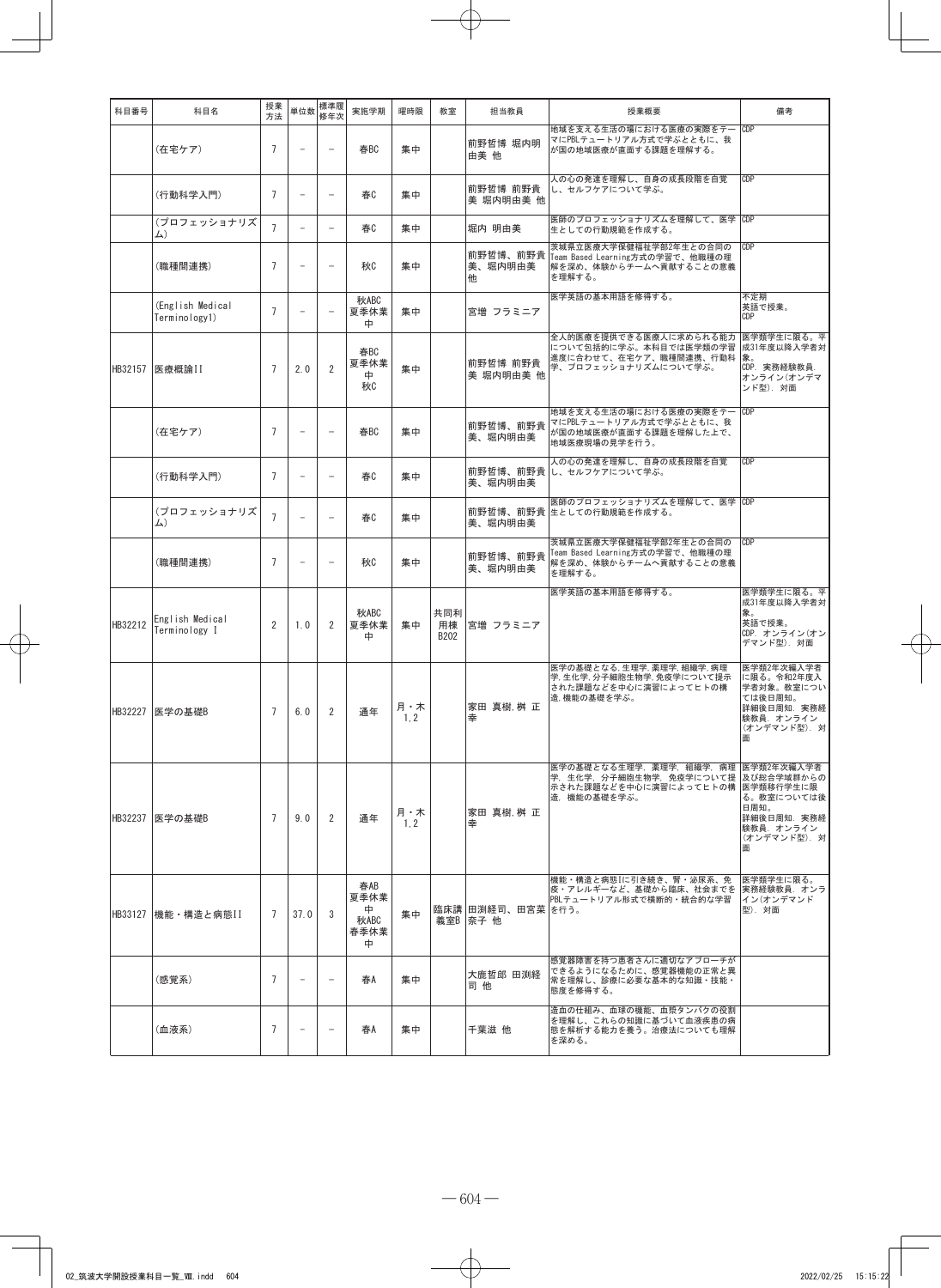| 科目番号    | 科目名                               | 授業<br>方法       | 単位数                      | 標準履<br>修年次               | 実施学期                                  | 曜時限         | 教室                | 担当教員                             | 授業概要                                                                                                                | 備考                                                                                                  |
|---------|-----------------------------------|----------------|--------------------------|--------------------------|---------------------------------------|-------------|-------------------|----------------------------------|---------------------------------------------------------------------------------------------------------------------|-----------------------------------------------------------------------------------------------------|
|         | (在宅ケア)                            | $\overline{7}$ | $\overline{\phantom{a}}$ |                          | 春BC                                   | 集中          |                   | 前野哲博 堀内明<br>由美 他                 | 地域を支える生活の場における医療の実際をテー CDP<br>マにPBLテュートリアル方式で学ぶとともに、我<br>が国の地域医療が直面する課題を理解する。                                       |                                                                                                     |
|         | (行動科学入門)                          | $\overline{7}$ | $\overline{\phantom{m}}$ | $\overline{\phantom{0}}$ | 春                                     | 集中          |                   | 前野哲博 前野貴<br>美 堀内明由美 他            | 人の心の発達を理解し、自身の成長段階を自覚<br>し、セルフケアについて学ぶ。                                                                             | CDP                                                                                                 |
|         | (プロフェッショナリズ<br>$\Delta$ )         | $\overline{7}$ | $\overline{\phantom{a}}$ | $\overline{\phantom{a}}$ | 春C                                    | 集中          |                   | 堀内 明由美                           | 医師のプロフェッショナリズムを理解して、医学 CDP<br>生としての行動規範を作成する。                                                                       |                                                                                                     |
|         | (職種間連携)                           | $\overline{7}$ | $\overline{a}$           | $\overline{\phantom{0}}$ | 秋                                     | 集中          |                   | 前野哲博、前野貴<br>美、堀内明由美<br>他         | 茨城県立医療大学保健福祉学部2年生との合同の<br>Team Based Learning方式の学習で、他職種の理<br>解を深め、体験からチームへ貢献することの意義<br>を理解する。                       | CDP                                                                                                 |
|         | (English Medical<br>Terminology1) | $\overline{7}$ | $\overline{\phantom{m}}$ |                          | 秋ABC<br>夏季休業<br>ф                     | 集中          |                   | 宮増 フラミニア                         | 医学英語の基本用語を修得する。                                                                                                     | 不定期<br>英語で授業。<br>CDP                                                                                |
| HB32157 | 医療概論II                            | $\overline{7}$ | 2.0                      | $\overline{2}$           | 春BC<br>夏季休業<br>中<br>秋                 | 集中          |                   | 前野哲博 前野貴<br>美 堀内明由美 他            | 全人的医療を提供できる医療人に求められる能力<br>について包括的に学ぶ。本科目では医学類の学習<br>進度に合わせて、在宅ケア、職種間連携、行動科<br>学、プロフェッショナリズムについて学ぶ。                  | 医学類学生に限る。平<br>成31年度以降入学者対<br>象。<br>CDP. 実務経験教員.<br>オンライン(オンデマ<br>ンド型). 対面                           |
|         | (在宅ケア)                            | $\overline{7}$ | $\overline{a}$           |                          | 春BC                                   | 集中          |                   | 前野哲博、前野貴<br>美、堀内明由美              | 地域を支える生活の場における医療の実際をテー CDP<br>マにPBLテュートリアル方式で学ぶとともに、我<br>が国の地域医療が直面する課題を理解した上で、<br>地域医療現場の見学を行う。                    |                                                                                                     |
|         | (行動科学入門)                          | $\overline{7}$ | $\overline{\phantom{0}}$ |                          | 春0                                    | 集中          |                   | 美、堀内明由美                          | 人の心の発達を理解し、自身の成長段階を自覚<br>前野哲博、前野貴 し、 セルフケアについて学ぶ。                                                                   | CDP                                                                                                 |
|         | (プロフェッショナリズ<br>$\Delta$ )         | $\overline{7}$ | $\overline{\phantom{0}}$ | $\overline{\phantom{a}}$ | 春C                                    | 集中          |                   | 美、堀内明由美                          | 医師のプロフェッショナリズムを理解して、医学 CDP<br>前野哲博、前野貴 生としての行動規範を作成する。                                                              |                                                                                                     |
|         | (職種間連携)                           | $\overline{7}$ | $\overline{a}$           |                          | 秋                                     | 集中          |                   | 前野哲博、前野貴<br>美、堀内明由美              | 茨城県立医療大学保健福祉学部2年生との合同の<br>Team Based Learning方式の学習で、他職種の理<br>解を深め、体験からチームへ貢献することの意義<br>を理解する。                       | CDP                                                                                                 |
| HB32212 | English Medical<br>Terminology I  | $\overline{2}$ | 1.0                      | 2                        | 秋ABC<br>夏季休業<br>中                     | 集中          | 共同利<br>用棟<br>B202 | 宮増 フラミニア                         | 医学英語の基本用語を修得する。                                                                                                     | 医学類学生に限る。平<br>成31年度以降入学者対<br>象。<br>英語で授業。<br>CDP. オンライン(オン<br>デマンド型). 対面                            |
|         | HB32227 医学の基礎B                    | $\overline{7}$ | 6.0                      | 2                        | 通年                                    | 月・木<br>1, 2 |                   | 家田 真樹,桝 正<br>幸                   | 医学の基礎となる,生理学,薬理学,組織学,病理<br>学,生化学,分子細胞生物学,免疫学について提示<br>された課題などを中心に演習によってヒトの構<br>造,機能の基礎を学ぶ。                          | 医学類2年次編入学者<br>に限る。令和2年度入<br>学者対象。教室につい<br>ては後日周知。<br>詳細後日周知. 実務経<br>験教員. オンライン<br>(オンデマンド型). 対<br>面 |
| HB32237 | 医学の基礎B                            | $\overline{7}$ | 9.0                      | 2                        | 通年                                    | 月・木<br>1, 2 |                   | 家田 真樹,桝 正<br>幸                   | 医学の基礎となる生理学, 薬理学, 組織学, 病理 医学類2年次編入学者<br>学,生化学,分子細胞生物学,免疫学について提  及び総合学域群からの<br>示された課題などを中心に演習によってヒトの構<br>造、機能の基礎を学ぶ。 | 医学類移行学生に限 <br>る。教室については後<br>日周知。<br>詳細後日周知. 実務経<br> 験教員.オンライン<br>(オンデマンド型). 対<br>面                  |
|         | HB33127 機能·構造と病態II                | $\overline{7}$ | 37.0                     | 3                        | 春AB<br>夏季休業<br>中<br>秋ABC<br>春季休業<br>中 | 集中          |                   | 臨床講  田渕経司、田宮菜  を行う。<br>義室B  奈子 他 | 機能・構造と病態Iに引き続き、腎・泌尿系、免<br>疫・アレルギーなど、基礎から臨床、社会までを<br>PBLテュートリアル形式で横断的・統合的な学習                                         | 医学類学生に限る。<br> 実務経験教員. オンラ<br> イン(オンデマンド<br>型). 対面                                                   |
|         | (感覚系)                             | $\overline{7}$ | $\overline{\phantom{0}}$ | $\overline{\phantom{0}}$ | 春A                                    | 集中          |                   | 大鹿哲郎 田渕経<br>司 他                  | 感覚器障害を持つ患者さんに適切なアプローチが<br>できるようになるために、感覚器機能の正常と異<br>常を理解し、診療に必要な基本的な知識・技能・<br>態度を修得する。                              |                                                                                                     |
|         | (血液系)                             | $\overline{7}$ | $\qquad \qquad -$        | $\overline{\phantom{0}}$ | 春A                                    | 集中          |                   | 千葉滋 他                            | 造血の仕組み、血球の機能、血漿タンパクの役割<br>を理解し、これらの知識に基づいて血液疾患の病<br>態を解析する能力を養う。治療法についても理解<br>を深める。                                 |                                                                                                     |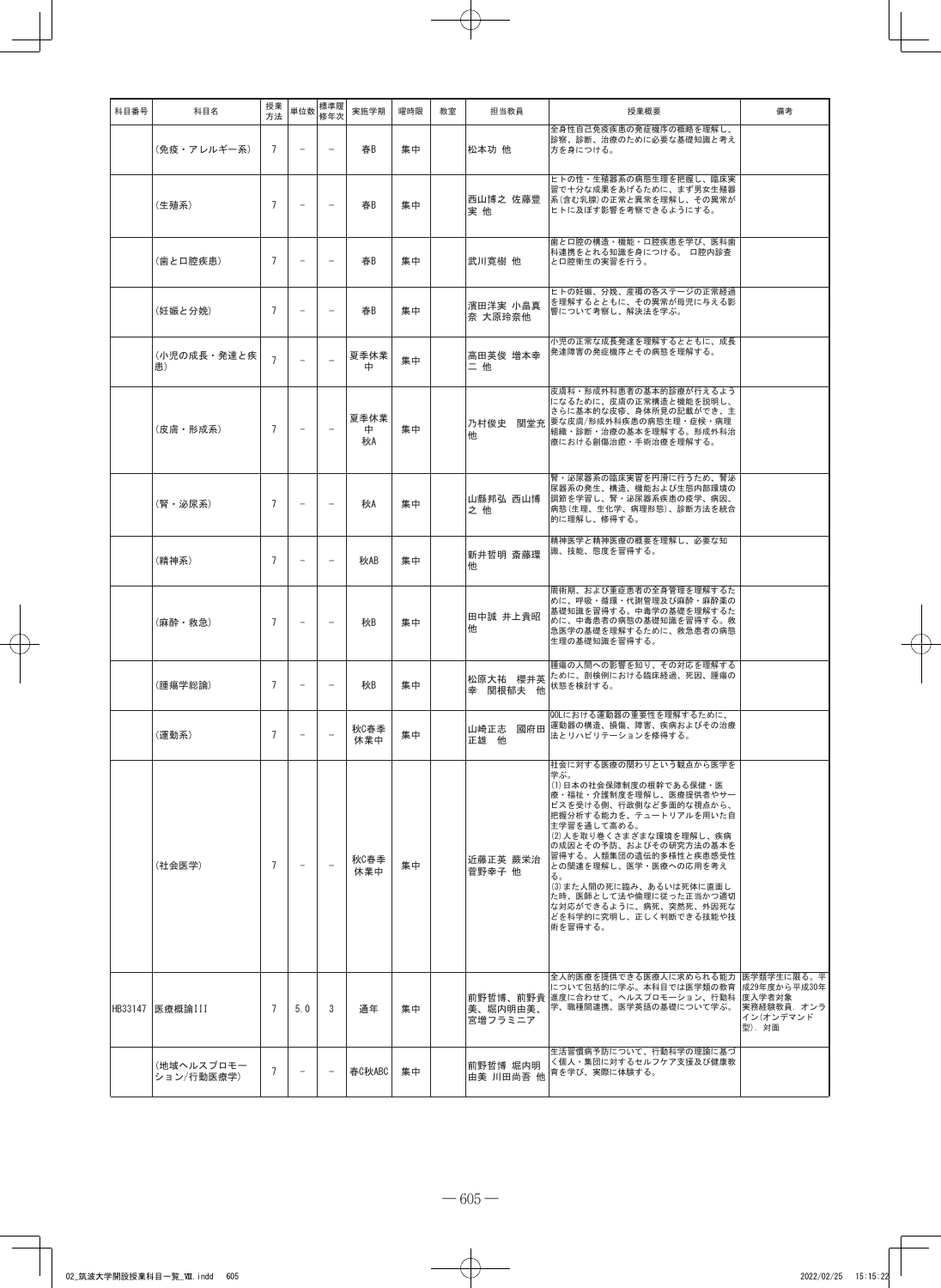| 科目番号    | 科目名                      | 授業<br>方法       | 単位数                      | 標準履<br>修年次               | 実施学期            | 曜時限 | 教室 | 担当教員                  | 授業概要                                                                                                                                                                                                                                                                                                                                                                                                                        | 備考                                 |
|---------|--------------------------|----------------|--------------------------|--------------------------|-----------------|-----|----|-----------------------|-----------------------------------------------------------------------------------------------------------------------------------------------------------------------------------------------------------------------------------------------------------------------------------------------------------------------------------------------------------------------------------------------------------------------------|------------------------------------|
|         | (免疫・アレルギー系)              | $\overline{7}$ | $\overline{\phantom{a}}$ | $\overline{\phantom{0}}$ | 春B              | 集中  |    | 松本功 他                 | 全身性自己免疫疾患の発症機序の概略を理解し、<br>診察、診断、治療のために必要な基礎知識と考え<br>方を身につける。                                                                                                                                                                                                                                                                                                                                                                |                                    |
|         | (生殖系)                    | $\overline{7}$ | $\overline{\phantom{a}}$ | $\equiv$                 | 春B              | 集中  |    | 西山博之 佐藤豊<br>実他        | ヒトの性・生殖器系の病態生理を把握し、臨床実<br>習で十分な成果をあげるために、まず男女生殖器<br>系(含む乳腺)の正常と異常を理解し、その異常が<br>ヒトに及ぼす影響を考察できるようにする。                                                                                                                                                                                                                                                                                                                         |                                    |
|         | (歯と口腔疾患)                 | $\overline{7}$ | $\overline{\phantom{m}}$ | $\overline{\phantom{m}}$ | 春B              | 集中  |    | 武川寛樹 他                | 歯と口腔の構造・機能・口腔疾患を学び、医科歯<br>科連携をとれる知識を身につける。 口腔内診査<br>と口腔衛生の実習を行う。                                                                                                                                                                                                                                                                                                                                                            |                                    |
|         | (妊娠と分娩)                  | $\overline{7}$ | $\overline{\phantom{a}}$ | $\overline{\phantom{0}}$ | 春B              | 集中  |    | 濱田洋実 小畠真<br>奈 大原玲奈他   | ヒトの妊娠、分娩、産褥の各ステージの正常経過<br>を理解するとともに、その異常が母児に与える影<br>響について考察し、解決法を学ぶ。                                                                                                                                                                                                                                                                                                                                                        |                                    |
|         | (小児の成長・発達と疾<br>患)        | $\overline{7}$ | $\overline{\phantom{a}}$ |                          | 夏季休業<br>中       | 集中  |    | 高田英俊 増本幸<br>二他        | 小児の正常な成長発達を理解するとともに、成長<br>発達障害の発症機序とその病態を理解する。                                                                                                                                                                                                                                                                                                                                                                              |                                    |
|         | (皮膚・形成系)                 | $\overline{7}$ | $\overline{\phantom{a}}$ |                          | 夏季休業<br>中<br>秋A | 集中  |    | 他                     | 皮膚科・形成外科患者の基本的診療が行えるよう<br>になるために、皮膚の正常構造と機能を説明し、<br>さらに基本的な皮疹、身体所見の記載ができ、主<br>乃村俊史 関堂充 要な皮膚/形成外科疾患の病態生理・症候・病理<br>組織・診断・治療の基本を理解する。形成外科治<br>療における創傷治癒・手術治療を理解する。                                                                                                                                                                                                                                                             |                                    |
|         | (腎・泌尿系)                  | $\overline{7}$ |                          |                          | 秋A              | 集中  |    | 山縣邦弘 西山博<br>之他        | 腎・泌尿器系の臨床実習を円滑に行うため、腎泌<br>尿器系の発生、構造、機能および生態内部環境の<br> 調節を学習し、腎・泌尿器系疾患の疫学、病因、<br>病態(生理、生化学、病理形態)、診断方法を統合<br>的に理解し、修得する。                                                                                                                                                                                                                                                                                                       |                                    |
|         | (精神系)                    | $\overline{7}$ | $\overline{\phantom{a}}$ | $\overline{\phantom{a}}$ | 秋AB             | 集中  |    | 新井哲明 斎藤環<br>他         | 精神医学と精神医療の概要を理解し、必要な知<br>識、技能、態度を習得する。                                                                                                                                                                                                                                                                                                                                                                                      |                                    |
|         | (麻酔・救急)                  | $\overline{7}$ | $\overline{\phantom{a}}$ | $\overline{\phantom{0}}$ | 秋B              | 集中  |    | 田中誠 井上貴昭<br>他         | 周術期、および重症患者の全身管理を理解するた<br>めに、呼吸・循環・代謝管理及び麻酔・麻酔薬の<br>基礎知識を習得する。中毒学の基礎を理解するた<br>めに、中毒患者の病態の基礎知識を習得する。救<br>急医学の基礎を理解するために、救急患者の病態<br>生理の基礎知識を習得する。                                                                                                                                                                                                                                                                             |                                    |
|         | (腫瘍学総論)                  | $\overline{7}$ | $\overline{\phantom{a}}$ | $\overline{\phantom{m}}$ | 秋B              | 集中  |    | 幸 関根郁夫 他              | 腫瘍の人間への影響を知り、その対応を理解する<br>松原大祐 櫻井英 ために、剖検例における臨床経過、死因、腫瘍の<br>状態を検討する。                                                                                                                                                                                                                                                                                                                                                       |                                    |
|         | (運動系)                    | 7              | $\overline{\phantom{0}}$ | $\qquad \qquad -$        | 秋C春季<br>休業中     | 集中  |    | 正雄 他                  | QOLにおける運動器の重要性を理解するために、<br>山崎正志 國府田 運動器の構造、損傷、障害、疾病およびその治療<br>法とリハビリテーションを修得する。                                                                                                                                                                                                                                                                                                                                             |                                    |
|         | (社会医学)                   | $\overline{7}$ | $\overline{\phantom{0}}$ | $\overline{\phantom{0}}$ | 秋C春季<br>休業中     | 集中  |    | 近藤正英 蕨栄治<br>菅野幸子 他    | 社会に対する医療の関わりという観点から医学を<br>学ぶ。<br>(1)日本の社会保障制度の根幹である保健・医<br>療・福祉・介護制度を理解し、医療提供者やサー<br>ビスを受ける側、行政側など多面的な視点から、<br>把握分析する能力を、テュートリアルを用いた自<br>主学習を通して高める。<br>(2)人を取り巻くさまざまな環境を理解し、疾病<br>の成因とその予防、およびその研究方法の基本を<br>習得する。人類集団の遺伝的多様性と疾患感受性<br>との関連を理解し、医学・医療への応用を考え<br>る。<br>(3)また人間の死に臨み、あるいは死体に直面し<br>た時、医師として法や倫理に従った正当かつ適切<br>な対応ができるように、病死、突然死、外因死な<br>どを科学的に究明し、正しく判断できる技能や技<br>術を習得する。<br>全人的医療を提供できる医療人に求められる能力 医学類学生に限る。平 |                                    |
| HB33147 | 医療概論III                  | $\overline{7}$ | 5.0                      | 3                        | 通年              | 集中  |    | 美、堀内明由美、<br>宮増フラミニア   | について包括的に学ぶ。本科目では医学類の教育 成29年度から平成30年<br>前野哲博、前野貴 進度に合わせて、ヘルスプロモーション、行動科 度入学者対象<br>学、職種間連携、医学英語の基礎について学ぶ。                                                                                                                                                                                                                                                                                                                     | 実務経験教員. オンラ<br>イン(オンデマンド<br>型). 対面 |
|         | (地域ヘルスプロモー<br>ション/行動医療学) | $\overline{7}$ | $\overline{\phantom{0}}$ | $\qquad \qquad -$        | 春C秋ABC          | 集中  |    | 前野哲博 堀内明<br>由美 川田尚吾 他 | 生活習慣病予防について、行動科学の理論に基づ<br>く個人・集団に対するセルフケア支援及び健康教<br>育を学び、実際に体験する。                                                                                                                                                                                                                                                                                                                                                           |                                    |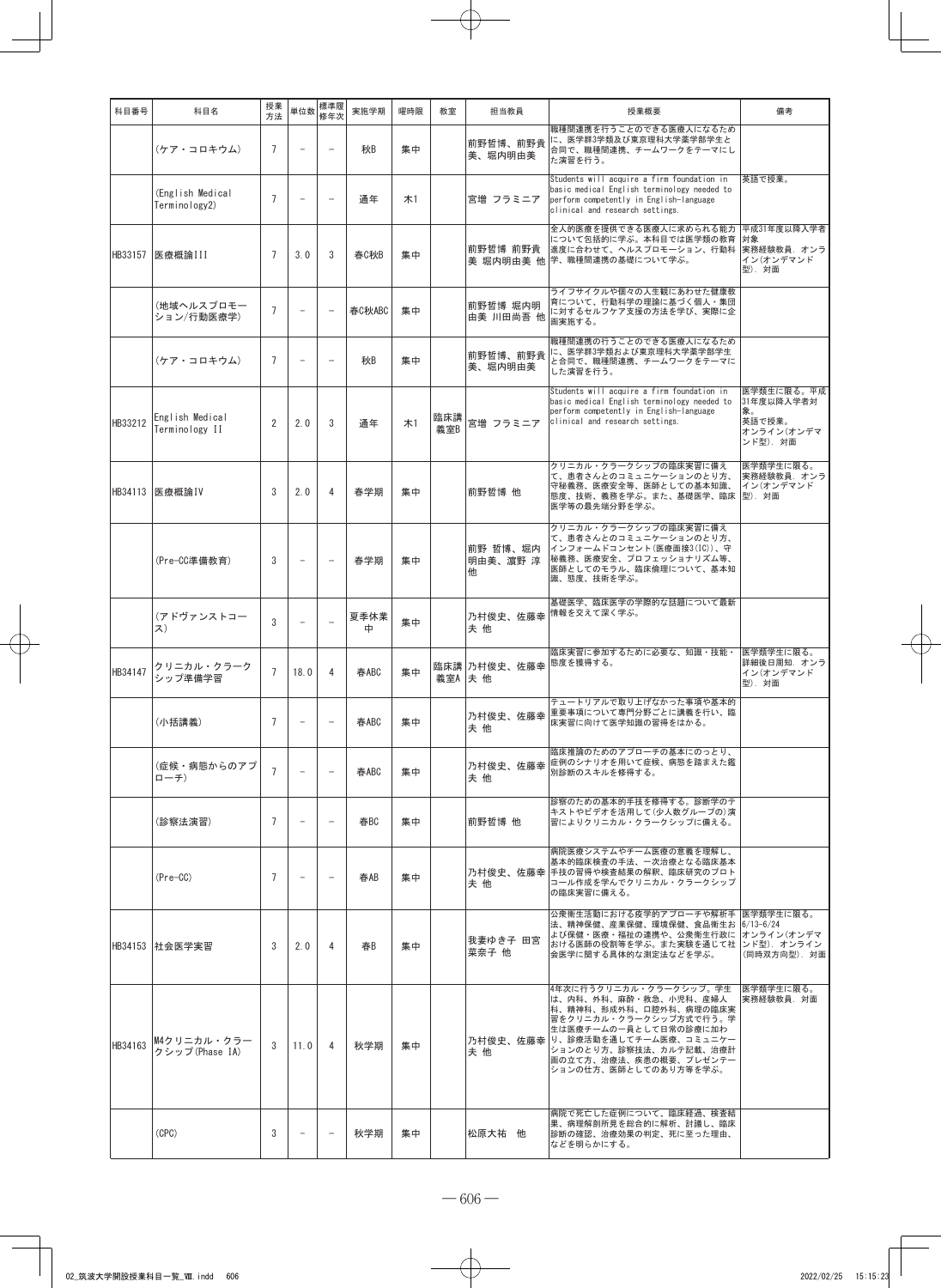| 科目番号    | 科目名                               | 授業<br>方法       | 単位数                      | 標準履<br>修年次               | 実施学期      | 曜時限 | 教室         | 担当教員                      | 授業概要                                                                                                                                                                                                                                         | 備考                                                                 |
|---------|-----------------------------------|----------------|--------------------------|--------------------------|-----------|-----|------------|---------------------------|----------------------------------------------------------------------------------------------------------------------------------------------------------------------------------------------------------------------------------------------|--------------------------------------------------------------------|
|         | (ケア・コロキウム)                        | $\overline{7}$ |                          |                          | 秋B        | 集中  |            | 前野哲博、前野貴<br>美、堀内明由美       | 職種間連携を行うことのできる医療人になるため<br>に、医学群3学類及び東京理科大学薬学部学生と<br>合同で、職種間連携、チームワークをテーマにし<br>た演習を行う。                                                                                                                                                        |                                                                    |
|         | (English Medical<br>Terminology2) | $\overline{7}$ |                          |                          | 通年        | #1  |            | 宮増 フラミニア                  | Students will acquire a firm foundation in<br>basic medical English terminology needed to<br>perform competently in English-language<br>clinical and research settings.                                                                      | 英語で授業。                                                             |
| HB33157 | 医療概論III                           | $\overline{7}$ | 3.0                      | 3                        | 春C秋B      | 集中  |            | 前野哲博 前野貴                  | 全人的医療を提供できる医療人に求められる能力<br>について包括的に学ぶ。本科目では医学類の教育<br>進度に合わせて、ヘルスプロモーション、行動科<br>美 堀内明由美 他 学、 職種間連携の基礎について学ぶ。                                                                                                                                   | 平成31年度以降入学者<br>対象<br>実務経験教員. オンラ<br>イン(オンデマンド<br>型). 対面            |
|         | (地域ヘルスプロモー<br>ション/行動医療学)          | $\overline{7}$ | $\overline{\phantom{0}}$ | $\overline{\phantom{a}}$ | 春C秋ABC    | 集中  |            | 前野哲博 堀内明<br>由美 川田尚吾 他     | ライフサイクルや個々の人生観にあわせた健康教<br>育について、行動科学の理論に基づく個人・集団<br>に対するセルフケア支援の方法を学び、実際に企<br>画実施する。                                                                                                                                                         |                                                                    |
|         | (ケア・コロキウム)                        | $\overline{7}$ | $\overline{\phantom{0}}$ | $\overline{\phantom{a}}$ | 秋B        | 集中  |            | 前野哲博、前野貴<br>美、堀内明由美       | 職種間連携の行うことのできる医療人になるため<br>に、医学群3学類および東京理科大学薬学部学生<br>と合同で、職種間連携、チームワークをテーマに<br>した演習を行う。                                                                                                                                                       |                                                                    |
| HB33212 | English Medical<br>Terminology II | $\overline{2}$ | 2.0                      | 3                        | 通年        | 木1  | 臨床講<br>義室B | 宮増 フラミニア                  | Students will acquire a firm foundation in<br>basic medical English terminology needed to<br>perform competently in English-language<br>clinical and research settings.                                                                      | 医学類生に限る。平成<br>31年度以降入学者対<br>象。<br>英語で授業。<br>オンライン(オンデマ<br>ンド型). 対面 |
| HB34113 | 医療概論IV                            | 3              | 2.0                      | 4                        | 春学期       | 集中  |            | 前野哲博 他                    | クリニカル・クラークシップの臨床実習に備え<br>て、患者さんとのコミュニケーションのとり方、<br>守秘義務、医療安全等、医師としての基本知識、<br>態度、技術、義務を学ぶ。また、基礎医学、臨床<br>医学等の最先端分野を学ぶ。                                                                                                                         | 医学類学生に限る。<br>実務経験教員. オンラ<br>イン(オンデマンド<br>型). 対面                    |
|         | (Pre-CC準備教育)                      | 3              | $\overline{\phantom{a}}$ |                          | 春学期       | 集中  |            | 前野 哲博、堀内<br>明由美、濵野 淳<br>他 | クリニカル・クラークシップの臨床実習に備え<br>て、患者さんとのコミュニケーションのとり方、<br>インフォームドコンセント(医療面接3(IC))、守<br>秘義務、医療安全、プロフェッショナリズム等、<br>医師としてのモラル、臨床倫理について、基本知<br>識、態度、技術を学ぶ。                                                                                              |                                                                    |
|         | (アドヴァンストコー<br>ス)                  | 3              |                          |                          | 夏季休業<br>中 | 集中  |            | 乃村俊史、佐藤幸<br>夫他            | 基礎医学、臨床医学の学際的な話題について最新<br>情報を交えて深く学ぶ。                                                                                                                                                                                                        |                                                                    |
| HB34147 | クリニカル・クラーク<br>シップ準備学習             | $\overline{7}$ | 18.0                     | 4                        | 春ABC      | 集中  | 義室A 夫 他    | 臨床講 乃村俊史、佐藤幸              | 臨床実習に参加するために必要な、知識・技能・<br>態度を獲得する。                                                                                                                                                                                                           | 医学類学生に限る。<br>詳細後日周知. オンラ<br>イン(オンデマンド<br>型). 対面                    |
|         | (小括講義)                            | 7              |                          |                          | 春ABC      | 集中  |            | 乃村俊史、佐藤幸<br>夫 他           | テュートリアルで取り上げなかった事項や基本的<br>重要事項について専門分野ごとに講義を行い、臨<br>床実習に向けて医学知識の習得をはかる。                                                                                                                                                                      |                                                                    |
|         | (症候・病態からのアプ<br>ローチ)               | $\overline{7}$ |                          |                          | 春ABC      | 集中  |            | 乃村俊史、佐藤幸<br>夫他            | 臨床推論のためのアプローチの基本にのっとり、<br>症例のシナリオを用いて症候、病態を踏まえた鑑<br>別診断のスキルを修得する。                                                                                                                                                                            |                                                                    |
|         | (診察法演習)                           | $\overline{7}$ | $\overline{\phantom{a}}$ | $\overline{\phantom{a}}$ | 春BC       | 集中  |            | 前野哲博 他                    | 診察のための基本的手技を修得する。診断学のテ<br>キストやビデオを活用して(少人数グループの)演<br>習によりクリニカル・クラークシップに備える。                                                                                                                                                                  |                                                                    |
|         | $(Pre-CC)$                        | $\overline{7}$ | $\overline{\phantom{a}}$ | $\overline{\phantom{a}}$ | 春AB       | 集中  |            | 夫他                        | 病院医療システムやチーム医療の意義を理解し、<br>基本的臨床検査の手法、一次治療となる臨床基本<br>乃村俊史、佐藤幸 手技の習得や検査結果の解釈、臨床研究のプロト<br>コール作成を学んでクリニカル・クラークシップ<br>の臨床実習に備える。                                                                                                                  |                                                                    |
|         | HB34153 社会医学実習                    | 3              | 2.0                      | 4                        | 春B        | 集中  |            | 我妻ゆき子 田宮<br>菜奈子 他         | 公衆衛生活動における疫学的アプローチや解析手 医学類学生に限る。<br>法、精神保健、産業保健、環境保健、食品衛生お 6/13-6/24<br>よび保健・医療・福祉の連携や、公衆衛生行政に オンライン(オンデマ<br>おける医師の役割等を学ぶ。また実験を通じて社<br>会医学に関する具体的な測定法などを学ぶ。                                                                                  | ンド型). オンライン<br>(同時双方向型). 対面                                        |
| HB34163 | M4クリニカル・クラー<br>クシップ(Phase IA)     | 3              | 11.0                     | 4                        | 秋学期       | 集中  |            | 夫他                        | 4年次に行うクリニカル・クラークシップ。学生<br>は、内科、外科、麻酔・救急、小児科、産婦人<br>科、精神科、形成外科、口腔外科、病理の臨床実<br>習をクリニカル・クラークシップ方式で行う。学<br>生は医療チームの一員として日常の診療に加わ<br>乃村俊史、佐藤幸 り、診療活動を通してチーム医療、コミュニケー<br>ションのとり方、診察技法、カルテ記載、治療計<br>画の立て方、治療法、疾患の概要、プレゼンテー<br>ションの仕方、医師としてのあり方等を学ぶ。 | 医学類学生に限る。<br>実務経験教員. 対面                                            |
|         | (CPC)                             | 3              | $\overline{\phantom{a}}$ | $\equiv$                 | 秋学期       | 集中  |            | 松原大祐 他                    | 病院で死亡した症例について、臨床経過、検査結<br>果、病理解剖所見を総合的に解析、討議し、臨床<br>診断の確認、治療効果の判定、死に至った理由、<br>などを明らかにする。                                                                                                                                                     |                                                                    |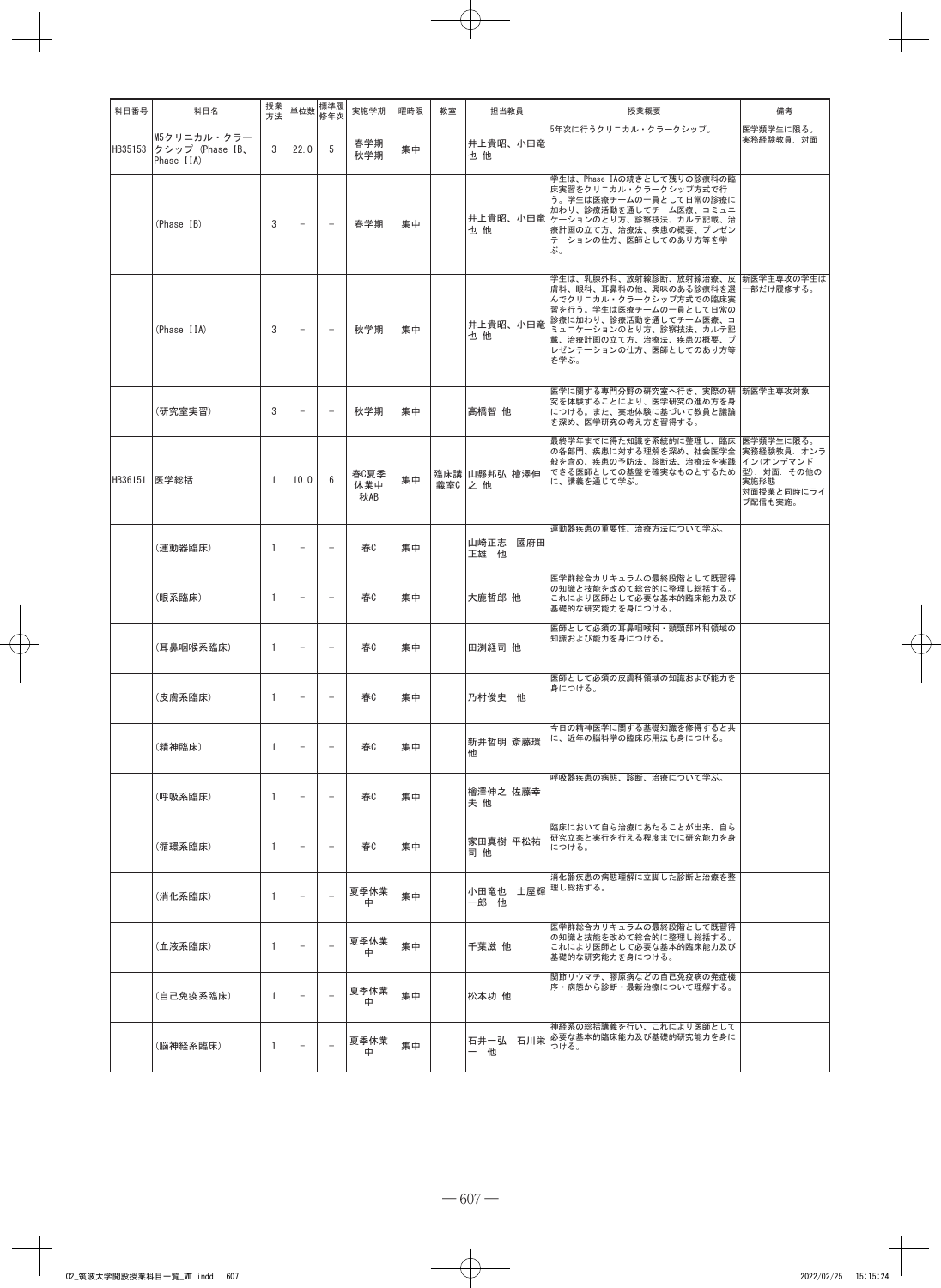| 科目番号    | 科目名                                          | 授業<br>方法       | 単位数                      | 標準履<br>修年次               | 実施学期               | 曜時限 | 教室      | 担当教員                    | 授業概要                                                                                                                                                                                                                                     | 備考                                         |
|---------|----------------------------------------------|----------------|--------------------------|--------------------------|--------------------|-----|---------|-------------------------|------------------------------------------------------------------------------------------------------------------------------------------------------------------------------------------------------------------------------------------|--------------------------------------------|
| HB35153 | M5クリニカル・クラー<br>クシップ (Phase IB、<br>Phase IIA) | 3              | 22.0                     | 5                        | 春学期<br>秋学期         | 集中  |         | 井上貴昭、小田竜<br>也他          | 5年次に行うクリニカル・クラークシップ。                                                                                                                                                                                                                     | 医学類学生に限る。<br>実務経験教員.対面                     |
|         | (Phase IB)                                   | 3              | $\overline{\phantom{m}}$ | $\overline{\phantom{a}}$ | 春学期                | 集中  |         | 也 他                     | 学生は、Phase IAの続きとして残りの診療科の臨<br>床実習をクリニカル・クラークシップ方式で行<br>う。学生は医療チームの一員として日常の診療に<br>加わり、診療活動を通してチーム医療、コミュニ<br>井上貴昭、小田竜 ケーションのとり方、診察技法、カルテ記載、治<br>療計画の立て方、治療法、疾患の概要、プレゼン<br>テーションの仕方、医師としてのあり方等を学<br>ぶ。                                      |                                            |
|         | (Phase IIA)                                  | 3              | $\overline{\phantom{a}}$ | $\overline{\phantom{a}}$ | 秋学期                | 集中  |         | 也他                      | 学生は、乳腺外科、放射線診断、放射線治療、皮 新医学主専攻の学生は<br>膚科、眼科、耳鼻科の他、興味のある診療科を選<br>んでクリニカル・クラークシップ方式での臨床実<br>習を行う。学生は医療チームの一員として日常の<br>井上貴昭、小田竜 診療に加わり、診療活動を通してチーム医療、コ<br>ミュニケーションのとり方、診察技法、カルテ記<br>載、治療計画の立て方、治療法、疾患の概要、プ<br>レゼンテーションの仕方、医師としてのあり方等<br>を学ぶ。 | 一部だけ履修する。                                  |
|         | (研究室実習)                                      | 3              | $\overline{\phantom{0}}$ | $\overline{\phantom{0}}$ | 秋学期                | 集中  |         | 高橋智 他                   | 医学に関する専門分野の研究室へ行き、実際の研 新医学主専攻対象<br>究を体験することにより、医学研究の進め方を身<br>につける。また、実地体験に基づいて教員と議論<br>を深め、医学研究の考え方を習得する。                                                                                                                                |                                            |
| HB36151 | 医学総括                                         | -1             | 10.0                     | 6                        | 春C夏季<br>休業中<br>秋AB | 集中  | 義室C 之 他 | 臨床講 山縣邦弘 檜澤伸            | 最終学年までに得た知識を系統的に整理し、臨床  医学類学生に限る。<br>の各部門、疾患に対する理解を深め、社会医学全  実務経験教員. オンラ<br>般を含め、疾患の予防法、診断法、治療法を実践<br>できる医師としての基盤を確実なものとするため 型). 対面. その他の<br>に、講義を通じて学ぶ。                                                                                 | イン(オンデマンド<br>実施形態<br>対面授業と同時にライ<br>ブ配信も実施。 |
|         | (運動器臨床)                                      | -1             | $\overline{\phantom{m}}$ | $\overline{\phantom{0}}$ | 春C                 | 集中  |         | 山崎正志 國府田<br>正雄 他        | 運動器疾患の重要性、治療方法について学ぶ。                                                                                                                                                                                                                    |                                            |
|         | (眼系臨床)                                       | 1              | $\overline{a}$           |                          | 春C                 | 集中  |         | 大鹿哲郎 他                  | 医学群総合カリキュラムの最終段階として既習得<br>の知識と技能を改めて総合的に整理し総括する。<br>これにより医師として必要な基本的臨床能力及び<br>基礎的な研究能力を身につける。                                                                                                                                            |                                            |
|         | (耳鼻咽喉系臨床)                                    | $\overline{1}$ | $\overline{\phantom{m}}$ | $\overline{\phantom{0}}$ | 春0                 | 集中  |         | 田渕経司 他                  | 医師として必須の耳鼻咽喉科・頭頸部外科領域の<br>知識および能力を身につける。                                                                                                                                                                                                 |                                            |
|         | (皮膚系臨床)                                      | $\mathbf{1}$   | $\overline{\phantom{m}}$ |                          | 春C                 | 集中  |         | 乃村俊史 他                  | 医師として必須の皮膚科領域の知識および能力を<br>身につける。                                                                                                                                                                                                         |                                            |
|         | (精神臨床)                                       | $\mathbf{1}$   | $\overline{\phantom{m}}$ | $\overline{\phantom{0}}$ | 春C                 | 集中  |         | 新井哲明 斎藤環<br>他           | 今日の精神医学に関する基礎知識を修得すると共<br>に、近年の脳科学の臨床応用法も身につける。                                                                                                                                                                                          |                                            |
|         | (呼吸系臨床)                                      | 1              | $\overline{\phantom{0}}$ | $\overline{\phantom{0}}$ | 春                  | 集中  |         | 檜澤伸之 佐藤幸<br>夫 他         | 呼吸器疾患の病態、診断、治療について学ぶ。                                                                                                                                                                                                                    |                                            |
|         | (循環系臨床)                                      | 1              |                          |                          | 春C                 | 集中  |         | 家田真樹 平松祐<br>司 他         | 臨床において自ら治療にあたることが出来、自ら<br>研究立案と実行を行える程度までに研究能力を身<br>につける。                                                                                                                                                                                |                                            |
|         | (消化系臨床)                                      | $\mathbf{1}$   | $\overline{\phantom{0}}$ | $\overline{\phantom{a}}$ | 夏季休業<br>中          | 集中  |         | 小田竜也 土屋輝 理し総括する。<br>一郎他 | 消化器疾患の病態理解に立脚した診断と治療を整                                                                                                                                                                                                                   |                                            |
|         | (血液系臨床)                                      | $\mathbf{1}$   | $\overline{\phantom{0}}$ | $\overline{\phantom{a}}$ | 夏季休業<br>中          | 集中  |         | 千葉滋 他                   | 医学群総合カリキュラムの最終段階として既習得<br>の知識と技能を改めて総合的に整理し総括する。<br>これにより医師として必要な基本的臨床能力及び<br>基礎的な研究能力を身につける。                                                                                                                                            |                                            |
|         | (自己免疫系臨床)                                    | 1              | $\overline{\phantom{a}}$ | $\overline{\phantom{0}}$ | 夏季休業<br>中          | 集中  |         | 松本功 他                   | 関節リウマチ、膠原病などの自己免疫病の発症機<br>序・病態から診断・最新治療について理解する。                                                                                                                                                                                         |                                            |
|         | (脳神経系臨床)                                     | 1              | $\overline{\phantom{m}}$ | $\overline{\phantom{0}}$ | 夏季休業<br>中          | 集中  |         | 一他                      | 神経系の総括講義を行い、これにより医師として<br>石井一弘 石川栄 必要な基本的臨床能力及び基礎的研究能力を身に<br>つける。                                                                                                                                                                        |                                            |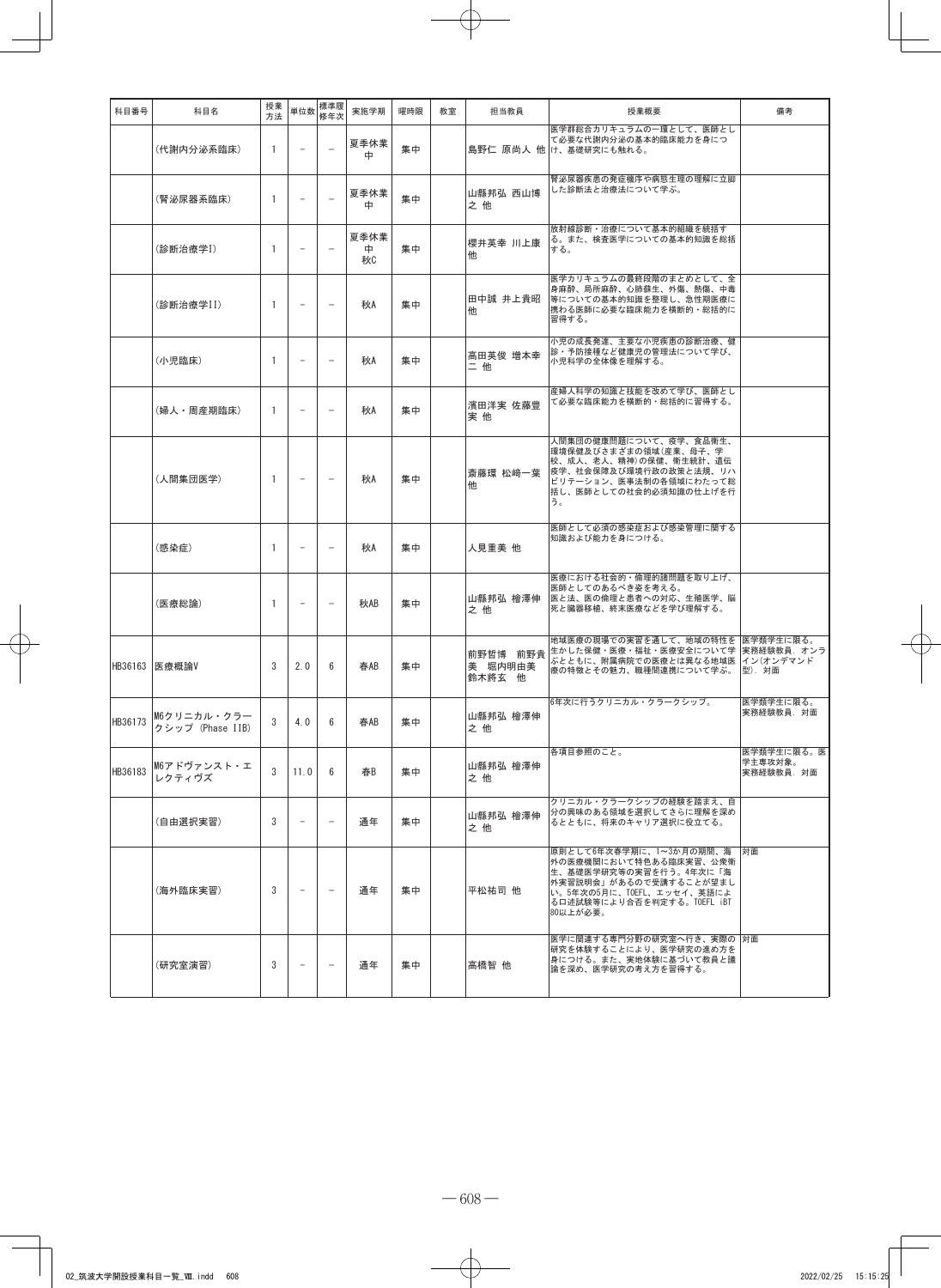| 科目番号    | 科目名                                     | 授業<br>方法 | 単位数                      | 標準履<br>修年次               | 実施学期            | 曜時限 | 教室 | 担当教員                          | 授業概要                                                                                                                                                                         | 備考                                  |
|---------|-----------------------------------------|----------|--------------------------|--------------------------|-----------------|-----|----|-------------------------------|------------------------------------------------------------------------------------------------------------------------------------------------------------------------------|-------------------------------------|
|         | (代謝内分泌系臨床)                              | 1        | $\overline{a}$           |                          | 夏季休業<br>中       | 集中  |    |                               | 医学群総合カリキュラムの一環として、医師とし<br>て必要な代謝内分泌の基本的臨床能力を身につ<br>島野仁 原尚人 他 け、基礎研究にも触れる。                                                                                                    |                                     |
|         | (腎泌尿器系臨床)                               | 1        |                          |                          | 夏季休業<br>中       | 集中  |    | 山縣邦弘 西山博<br>之他                | 腎泌尿器疾患の発症機序や病態生理の理解に立脚<br>した診断法と治療法について学ぶ。                                                                                                                                   |                                     |
|         | (診断治療学I)                                | 1        |                          |                          | 夏季休業<br>中<br>秋C | 集中  |    | 櫻井英幸 川上康<br>他                 | 放射線診断・治療について基本的組織を統括す<br>る。また、検査医学についての基本的知識を総括<br>する。                                                                                                                       |                                     |
|         | (診断治療学II)                               | 1        |                          | $\overline{\phantom{0}}$ | 秋A              | 集中  |    | 田中誠 井上貴昭<br>他                 | 医学カリキュラムの最終段階のまとめとして、全<br>身麻酔、局所麻酔、心肺蘇生、外傷、熱傷、中毒<br>等についての基本的知識を整理し、急性期医療に<br>携わる医師に必要な臨床能力を横断的・総括的に<br>習得する。                                                                |                                     |
|         | (小児臨床)                                  | 1        | $\overline{a}$           | $\overline{\phantom{0}}$ | 秋A              | 集中  |    | 高田英俊 増本幸<br>二他                | 小児の成長発達、主要な小児疾患の診断治療、健<br>診・予防接種など健康児の管理法について学び、<br>小児科学の全体像を理解する。                                                                                                           |                                     |
|         | (婦人・周産期臨床)                              | 1        | $\overline{a}$           | $\equiv$                 | 秋A              | 集中  |    | 濱田洋実 佐藤豊<br>実他                | 産婦人科学の知識と技能を改めて学び、医師とし<br>て必要な臨床能力を横断的・総括的に習得する。                                                                                                                             |                                     |
|         | (人間集団医学)                                | 1        | $\overline{a}$           | $\overline{\phantom{0}}$ | 秋A              | 集中  |    | 斎藤環 松﨑一葉<br>他                 | 人間集団の健康問題について、疫学、食品衛生、<br>環境保健及びさまざまの領域(産業、母子、学<br>校、成人、老人、精神)の保健、衛生統計、遺伝<br>疫学、社会保障及び環境行政の政策と法規、リハ<br>ビリテーション、医事法制の各領域にわたって総<br>括し、医師としての社会的必須知識の仕上げを行<br>う。                |                                     |
|         | (感染症)                                   | 1        |                          | $\overline{a}$           | 秋A              | 集中  |    | 人見重美 他                        | 医師として必須の感染症および感染管理に関する<br>知識および能力を身につける。                                                                                                                                     |                                     |
|         | (医療総論)                                  | 1        |                          |                          | 秋AB             | 集中  |    | 山縣邦弘 檜澤伸<br>之他                | 医療における社会的・倫理的諸問題を取り上げ、<br>医師としてのあるべき姿を考える。<br>医と法、医の倫理と患者への対応、生殖医学、脳<br>死と臓器移植、終末医療などを学び理解する。                                                                                |                                     |
| HB36163 | 医療概論V                                   | 3        | 2.0                      | 6                        | 春AB             | 集中  |    | 前野哲博 前野貴<br>美 堀内明由美<br>鈴木將玄 他 | 地域医療の現場での実習を通して、地域の特性を 医学類学生に限る。<br>生かした保健・医療・福祉・医療安全について学  実務経験教員. オンラ<br>ぶとともに、附属病院での医療とは異なる地域医 イン(オンデマンド<br>療の特徴とその魅力、職種間連携について学ぶ。                                        | 型). 対面                              |
|         | HB36173 M6クリニカル・クラー<br>クシップ (Phase IIB) | 3        | 4.0                      | 6                        | 春AB             | 集中  |    | 山縣邦弘 檜澤伸<br>之他                | 6年次に行うクリニカル・クラークシップ。                                                                                                                                                         | 医学類学生に限る。<br>実務経験教員. 対面             |
| HB36183 | M6アドヴァンスト・エ<br>レクティヴズ                   | 3        | 11.0                     | 6                        | 春B              | 集中  |    | 山縣邦弘 檜澤伸<br>之他                | 各項目参照のこと。                                                                                                                                                                    | 医学類学生に限る。医<br>学主専攻対象。<br>実務経験教員. 対面 |
|         | (自由選択実習)                                | 3        |                          | $\overline{\phantom{0}}$ | 通年              | 集中  |    | 山縣邦弘 檜澤伸<br>之 他               | クリニカル・クラークシップの経験を踏まえ、自<br>分の興味のある領域を選択してさらに理解を深め<br>るとともに、将来のキャリア選択に役立てる。                                                                                                    |                                     |
|         | (海外臨床実習)                                | 3        | $\overline{\phantom{0}}$ | $\overline{\phantom{m}}$ | 通年              | 集中  |    | 平松祐司 他                        | 原則として6年次春学期に、1~3か月の期間、海<br>外の医療機関において特色ある臨床実習、公衆衛<br>生、基礎医学研究等の実習を行う。4年次に「海<br>外実習説明会」があるので受講することが望まし<br>い。5年次の5月に、TOEFL、エッセイ、英語によ<br>る口述試験等により合否を判定する。TOEFL iBT<br>80以上が必要。 | 対面                                  |
|         | (研究室演習)                                 | 3        |                          | $\overline{\phantom{0}}$ | 通年              | 集中  |    | 高橋智 他                         | 医学に関連する専門分野の研究室へ行き、実際の 対面<br>研究を体験することにより、医学研究の進め方を<br>身につける。また、実地体験に基づいて教員と議<br>論を深め、医学研究の考え方を習得する。                                                                         |                                     |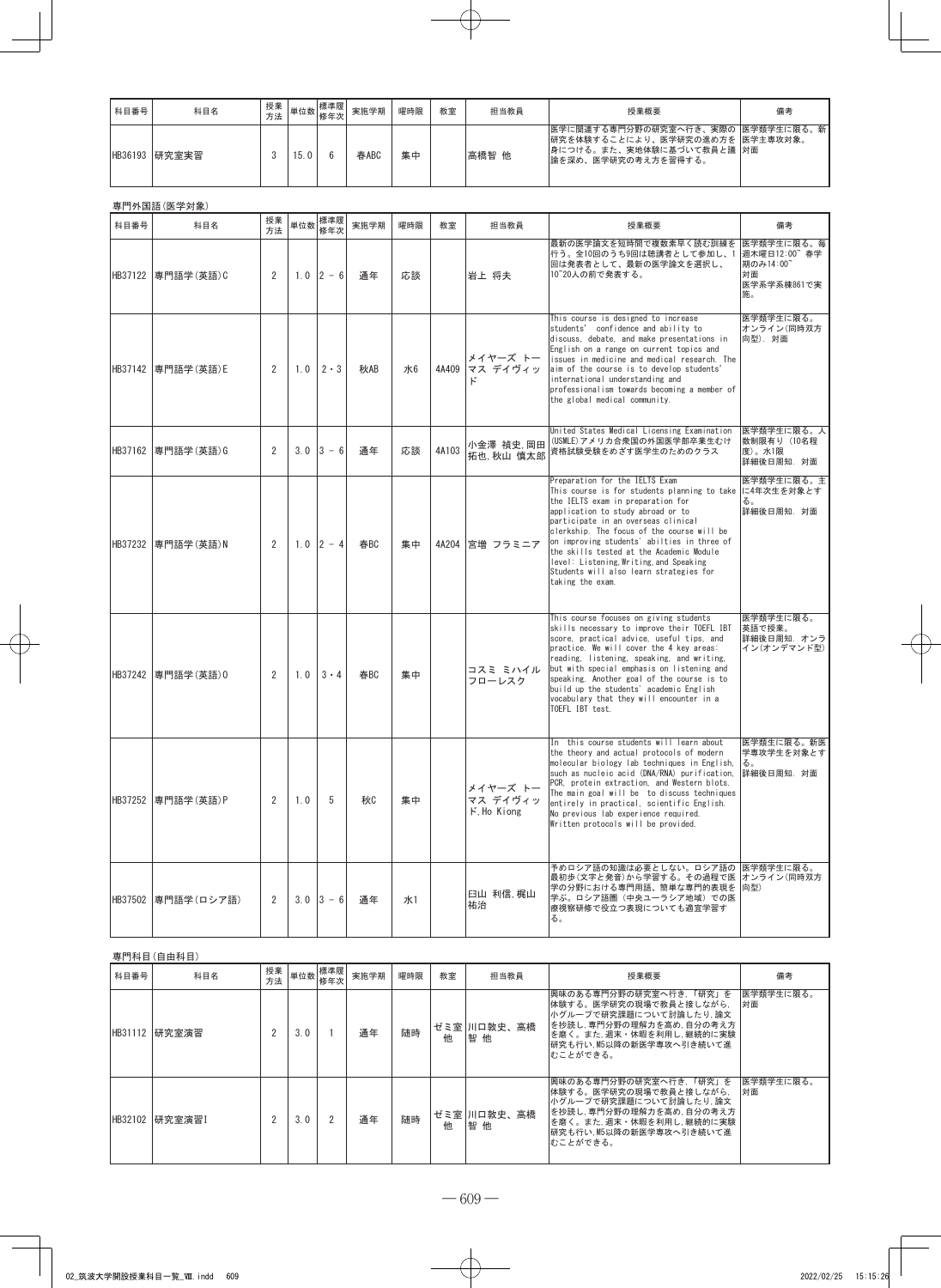| 科目番号    | 科目名   | 授業<br>方法 |      | 標準履<br><sup>- ★  </sup> 単位数 │ <mark>修年次</mark> │ | 実施学期 | 曜時限 | 教室 | 担当教員  | 授業概要                                                                                                                            | 備考 |
|---------|-------|----------|------|--------------------------------------------------|------|-----|----|-------|---------------------------------------------------------------------------------------------------------------------------------|----|
| HB36193 | 研究室実習 |          | 15.0 |                                                  | 春ABC | 集中  |    | 高橋智 他 | 医学に関連する専門分野の研究室へ行き、実際の  医学類学生に限る。新  <br> 研究を体験することにより、医学研究の進め方を  医学主専攻対象。<br> 身につける。また、実地体験に基づいて教員と議  対面<br>論を深め、医学研究の考え方を習得する。 |    |

|         | 専門外国語 (医学対象)        |                |     |                  |      |            |       |                                     |                                                                                                                                                                                                                                                                                                                                                                                                                                                    |                                                                   |
|---------|---------------------|----------------|-----|------------------|------|------------|-------|-------------------------------------|----------------------------------------------------------------------------------------------------------------------------------------------------------------------------------------------------------------------------------------------------------------------------------------------------------------------------------------------------------------------------------------------------------------------------------------------------|-------------------------------------------------------------------|
| 科目番号    | 科目名                 | 授業<br>方法       | 単位数 | 標準履<br>修年次       | 実施学期 | 曜時限        | 教室    | 担当教員                                | 授業概要                                                                                                                                                                                                                                                                                                                                                                                                                                               | 備考                                                                |
|         | HB37122 專門語学(英語)C   | 2              |     | $1.0$ 2 - 6      | 通年   | 応談         |       | 岩上 将夫                               | 最新の医学論文を短時間で複数素早く読む訓練を<br>行う。全10回のうち9回は聴講者として参加し、1<br>回は発表者として、最新の医学論文を選択し、<br>10~20人の前で発表する。                                                                                                                                                                                                                                                                                                                                                      | 医学類学生に限る。毎<br>週木曜日12:00 春学<br>期のみ14:00<br>対面<br>医学系学系棟861で実<br>施。 |
|         | HB37142 專門語学(英語)E   | 2              | 1.0 | $2 \cdot 3$      | 秋AB  | ж6         | 4A409 | メイヤーズ トー<br>マス デイヴィッ<br>k,          | This course is designed to increase<br>students' confidence and ability to<br>discuss, debate, and make presentations in<br>English on a range on current topics and<br>issues in medicine and medical research. The<br>aim of the course is to develop students'<br>international understanding and<br>professionalism towards becoming a member of<br>the global medical community.                                                              | 医学類学生に限る。<br>オンライン(同時双方<br>向型). 対面                                |
|         | HB37162 專門語学(英語)G   | 2              | 3.0 | $3 - 6$          | 通年   | 応談         | 4A103 | 小金澤 禎史,岡田<br>拓也, 秋山 慎太郎             | United States Medical Licensing Examination<br>(USMLE) アメリカ合衆国の外国医学部卒業生むけ<br>資格試験受験をめざす医学生のためのクラス                                                                                                                                                                                                                                                                                                                                                  | 医学類学生に限る。人<br>数制限有り (10名程<br>度)。水1限<br>詳細後日周知. 対面                 |
|         | HB37232 専門語学(英語)N   | 2              |     | $1.0$ 2 - 4      | 春BC  | 集中         | 4A204 | 宮増 フラミニア                            | Preparation for the IELTS Exam<br>This course is for students planning to take<br>the IELTS exam in preparation for<br>application to study abroad or to<br>participate in an overseas clinical<br>clerkship. The focus of the course will be<br>on improving students' abilties in three of<br>the skills tested at the Academic Module<br>level: Listening, Writing, and Speaking<br>Students will also learn strategies for<br>taking the exam. | 医学類学生に限る。主<br>に4年次生を対象とす<br>る。<br>詳細後日周知. 対面                      |
| HB37242 | 専門語学(英語)0           | 2              | 1.0 | $3 \cdot 4$      | 春BC  | 集中         |       | コスミ ミハイル<br>フローレスク                  | This course focuses on giving students<br>skills necessary to improve their TOEFL IBT<br>score, practical advice, useful tips, and<br>practice. We will cover the 4 key areas:<br>reading, listening, speaking, and writing,<br>but with special emphasis on listening and<br>speaking. Another goal of the course is to<br>build up the students' academic English<br>vocabulary that they will encounter in a<br>TOEFL IBT test.                 | 医学類学生に限る。<br>英語で授業。<br>詳細後日周知. オンラ<br>イン(オンデマンド型)                 |
|         | HB37252 専門語学 (英語) P | $\overline{2}$ | 1.0 | 5                | 秋    | 集中         |       | メイヤーズ トー<br>マス デイヴィッ<br>F. Ho Kiong | In this course students will learn about<br>the theory and actual protocols of modern<br>molecular biology lab techniques in English,<br>such as nucleic acid (DNA/RNA) purification.<br>PCR, protein extraction, and Western blots.<br>The main goal will be to discuss techniques<br>entirely in practical, scientific English.<br>No previous lab experience required.<br>Written protocols will be provided.                                   | 医学類生に限る。新医<br>学専攻学生を対象とす<br>る。<br>詳細後日周知. 対面                      |
|         | HB37502 専門語学 (ロシア語) | 2              |     | $3.0 \,   3 - 6$ | 诵年   | <b>лк1</b> |       | 臼山 利信 梶山<br>祐治                      | 予めロシア語の知識は必要としない。ロシア語の  医学類学生に限る。<br>最初歩 (文字と発音) から学習する。その過程で医  オンライン(同時双方<br>学の分野における専門用語、簡単な専門的表現を<br>学ぶ。ロシア語圏(中央ユーラシア地域)での医<br>療視察研修で役立つ表現についても適宜学習す<br>る。                                                                                                                                                                                                                                                                                      | 向型)                                                               |

|         | 専門科目(自由科目) |          |     |                |      |     |    |                   |                                                                                                                                                                                   |                 |  |  |
|---------|------------|----------|-----|----------------|------|-----|----|-------------------|-----------------------------------------------------------------------------------------------------------------------------------------------------------------------------------|-----------------|--|--|
| 科目番号    | 科目名        | 授業<br>方法 |     | 単位数 標準履<br>修年次 | 実施学期 | 曜時限 | 教室 | 担当教員              | 授業概要                                                                                                                                                                              | 備考              |  |  |
| HB31112 | 研究室演習      | 2        | 3.0 |                | 通年   | 随時  | 他  | ゼミ室 川口敦史、高橋<br>智他 | 興味のある専門分野の研究室へ行き, 「研究」を<br>体験する。医学研究の現場で教員と接しながら、<br> 小グループで研究課題について討論したり,論文<br> を抄読し, 専門分野の理解力を高め, 自分の考え方<br>を磨く。また、週末・休暇を利用し、継続的に実験<br> 研究も行い.M5以降の新医学専攻へ引き続いて進<br>おことができる。     | 医学類学生に限る。<br>面核 |  |  |
| HB32102 | 研究室演習]     | 2        | 3.0 |                | 通年   | 随時  | 他  | ゼミ室 川口敦史、高橋<br>智他 | 興味のある専門分野の研究室へ行き, 「研究」を<br> 体験する。医学研究の現場で教員と接しながら.<br> 小グループで研究課題について討論したり,論文<br> を抄読し, 専門分野の理解力を高め, 自分の考え方<br>を磨く。また, 週末・休暇を利用し, 継続的に実験<br> 研究も行い, M5以降の新医学専攻へ引き続いて進<br>むことができる。 | 医学類学生に限る。<br>対面 |  |  |